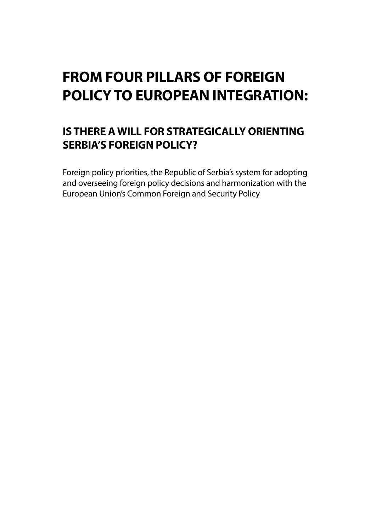# **FROM FOUR PILLARS OF FOREIGN POLICY TO EUROPEAN INTEGRATION:**

## **IS THERE A WILL FOR STRATEGICALLY ORIENTING SERBIA'S FOREIGN POLICY?**

Foreign policy priorities, the Republic of Serbia's system for adopting and overseeing foreign policy decisions and harmonization with the European Union's Common Foreign and Security Policy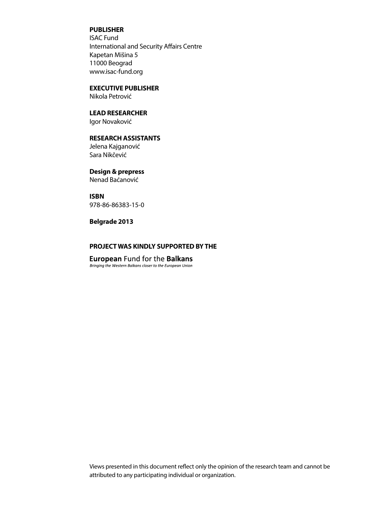### **PUBLISHER**

ISAC Fund International and Security Affairs Centre Kapetan Mišina 5 11000 Beograd www.isac-fund.org

### **EXECUTIVE PUBLISHER**

Nikola Petrović

## **LEAD RESEARCHER**

Igor Novaković

### **RESEARCH ASSISTANTS**

Jelena Kajganović Sara Nikčević

### **Design & prepress**

Nenad Baćanović

#### **ISBN**

978-86-86383-15-0

#### **Belgrade 2013**

### **PROJECT WAS KINDLY SUPPORTED BY THE**

**European** Fund for the **Balkans**<br>Bringing the Western Balkans closer to the European Union

Views presented in this document reflect only the opinion of the research team and cannot be attributed to any participating individual or organization.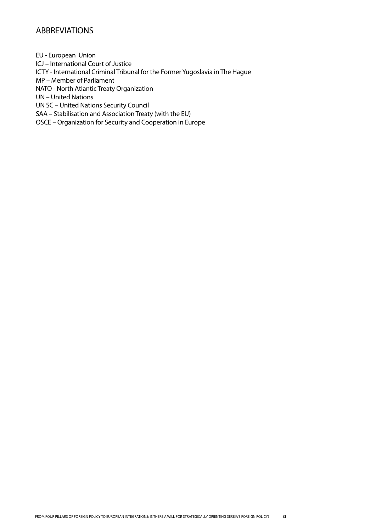### ABBREVIATIONS

EU - European Union ICJ – International Court of Justice ICTY - International Criminal Tribunal for the Former Yugoslavia in The Hague MP – Member of Parliament NATO - North Atlantic Treaty Organization UN – United Nations UN SC – United Nations Security Council SAA – Stabilisation and Association Treaty (with the EU) OSCE – Organization for Security and Cooperation in Europe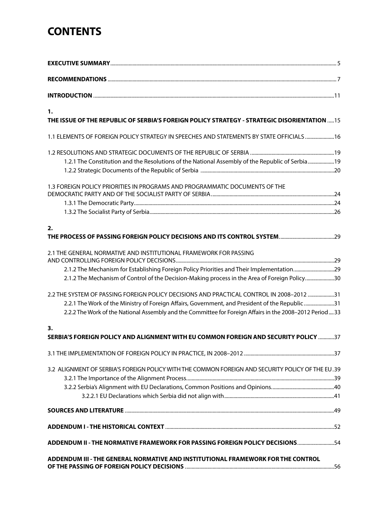## **CONTENTS**

| 1.<br>THE ISSUE OF THE REPUBLIC OF SERBIA'S FOREIGN POLICY STRATEGY - STRATEGIC DISORIENTATION  15                                                                                                                                                                                                                                                          |
|-------------------------------------------------------------------------------------------------------------------------------------------------------------------------------------------------------------------------------------------------------------------------------------------------------------------------------------------------------------|
|                                                                                                                                                                                                                                                                                                                                                             |
| 1.2.1 The Constitution and the Resolutions of the National Assembly of the Republic of Serbia19                                                                                                                                                                                                                                                             |
| 1.3 FOREIGN POLICY PRIORITIES IN PROGRAMS AND PROGRAMMATIC DOCUMENTS OF THE                                                                                                                                                                                                                                                                                 |
| 2.                                                                                                                                                                                                                                                                                                                                                          |
| 2.1 THE GENERAL NORMATIVE AND INSTITUTIONAL FRAMEWORK FOR PASSING<br>2.1.2 The Mechanism for Establishing Foreign Policy Priorities and Their Implementation29<br>2.1.2 The Mechanism of Control of the Decision-Making process in the Area of Foreign Policy30<br>2.2 THE SYSTEM OF PASSING FOREIGN POLICY DECISIONS AND PRACTICAL CONTROL IN 2008-2012 31 |
| 2.2.1 The Work of the Ministry of Foreign Affairs, Government, and President of the Republic31<br>2.2.2 The Work of the National Assembly and the Committee for Foreign Affairs in the 2008-2012 Period 33<br>3.<br>SERBIA'S FOREIGN POLICY AND ALIGNMENT WITH EU COMMON FOREIGN AND SECURITY POLICY 37                                                     |
|                                                                                                                                                                                                                                                                                                                                                             |
| 3.2 ALIGNMENT OF SERBIA'S FOREIGN POLICY WITH THE COMMON FOREIGN AND SECURITY POLICY OF THE EU.39                                                                                                                                                                                                                                                           |
|                                                                                                                                                                                                                                                                                                                                                             |
|                                                                                                                                                                                                                                                                                                                                                             |
| ADDENDUM II - THE NORMATIVE FRAMEWORK FOR PASSING FOREIGN POLICY DECISIONS34                                                                                                                                                                                                                                                                                |
| ADDENDUM III - THE GENERAL NORMATIVE AND INSTITUTIONAL FRAMEWORK FOR THE CONTROL                                                                                                                                                                                                                                                                            |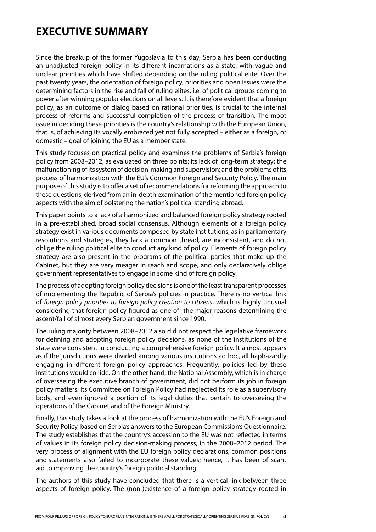## **EXECUTIVE SUMMARY**

Since the breakup of the former Yugoslavia to this day, Serbia has been conducting an unadjusted foreign policy in its different incarnations as a state, with vague and unclear priorities which have shifted depending on the ruling political elite. Over the past twenty years, the orientation of foreign policy, priorities and open issues were the determining factors in the rise and fall of ruling elites, i.e. of political groups coming to power after winning popular elections on all levels. It is therefore evident that a foreign policy, as an outcome of dialog based on rational priorities, is crucial to the internal process of reforms and successful completion of the process of transition. The moot issue in deciding these priorities is the country's relationship with the European Union, that is, of achieving its vocally embraced yet not fully accepted – either as a foreign, or domestic – goal of joining the EU as a member state.

This study focuses on practical policy and examines the problems of Serbia's foreign policy from 2008–2012, as evaluated on three points: its lack of long-term strategy; the malfunctioning of its system of decision-making and supervision; and the problems of its process of harmonization with the EU's Common Foreign and Security Policy. The main purpose of this study is to offer a set of recommendations for reforming the approach to these questions, derived from an in-depth examination of the mentioned foreign policy aspects with the aim of bolstering the nation's political standing abroad.

This paper points to a lack of a harmonized and balanced foreign policy strategy rooted in a pre-established, broad social consensus. Although elements of a foreign policy strategy exist in various documents composed by state institutions, as in parliamentary resolutions and strategies, they lack a common thread, are inconsistent, and do not oblige the ruling political elite to conduct any kind of policy. Elements of foreign policy strategy are also present in the programs of the political parties that make up the Cabinet, but they are very meager in reach and scope, and only declaratively oblige government representatives to engage in some kind of foreign policy.

The process of adopting foreign policy decisions is one of the least transparent processes of implementing the Republic of Serbia's policies in practice. There is no vertical link of *foreign policy priorities to foreign policy creation to citizens*, which is highly unusual considering that foreign policy figured as one of the major reasons determining the ascent/fall of almost every Serbian government since 1990.

The ruling majority between 2008–2012 also did not respect the legislative framework for defining and adopting foreign policy decisions, as none of the institutions of the state were consistent in conducting a comprehensive foreign policy. It almost appears as if the jurisdictions were divided among various institutions ad hoc, all haphazardly engaging in different foreign policy approaches. Frequently, policies led by these institutions would collide. On the other hand, the National Assembly, which is in charge of overseeing the executive branch of government, did not perform its job in foreign policy matters. Its Committee on Foreign Policy had neglected its role as a supervisory body, and even ignored a portion of its legal duties that pertain to overseeing the operations of the Cabinet and of the Foreign Ministry.

Finally, this study takes a look at the process of harmonization with the EU's Foreign and Security Policy, based on Serbia's answers to the European Commission's Questionnaire. The study establishes that the country's accession to the EU was not reflected in terms of values in its foreign policy decision-making process, in the 2008–2012 period. The very process of alignment with the EU foreign policy declarations, common positions and statements also failed to incorporate these values; hence, it has been of scant aid to improving the country's foreign political standing.

The authors of this study have concluded that there is a vertical link between three aspects of foreign policy. The (non-)existence of a foreign policy strategy rooted in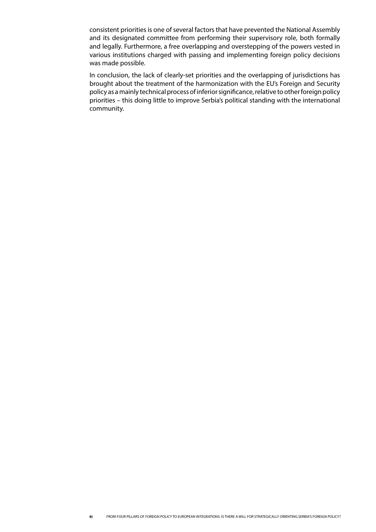consistent priorities is one of several factors that have prevented the National Assembly and its designated committee from performing their supervisory role, both formally and legally. Furthermore, a free overlapping and overstepping of the powers vested in various institutions charged with passing and implementing foreign policy decisions was made possible.

In conclusion, the lack of clearly-set priorities and the overlapping of jurisdictions has brought about the treatment of the harmonization with the EU's Foreign and Security policy as a mainly technical process of inferior significance, relative to other foreign policy priorities – this doing little to improve Serbia's political standing with the international community.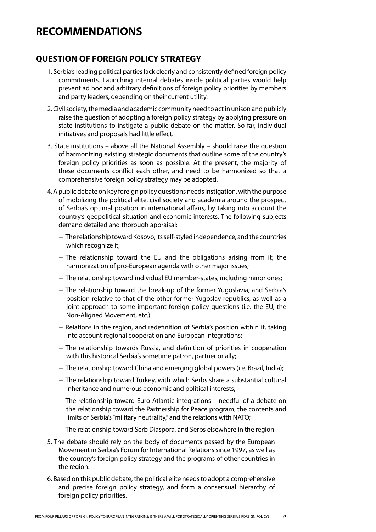## **RECOMMENDATIONS**

### **QUESTION OF FOREIGN POLICY STRATEGY**

- 1. Serbia's leading political parties lack clearly and consistently defined foreign policy commitments. Launching internal debates inside political parties would help prevent ad hoc and arbitrary definitions of foreign policy priorities by members and party leaders, depending on their current utility.
- 2. Civil society, the media and academic community need to act in unison and publicly raise the question of adopting a foreign policy strategy by applying pressure on state institutions to instigate a public debate on the matter. So far, individual initiatives and proposals had little effect.
- 3. State institutions above all the National Assembly should raise the question of harmonizing existing strategic documents that outline some of the country's foreign policy priorities as soon as possible. At the present, the majority of these documents conflict each other, and need to be harmonized so that a comprehensive foreign policy strategy may be adopted.
- 4. A public debate on key foreign policy questions needs instigation, with the purpose of mobilizing the political elite, civil society and academia around the prospect of Serbia's optimal position in international affairs, by taking into account the country's geopolitical situation and economic interests. The following subjects demand detailed and thorough appraisal:
	- The relationship toward Kosovo, its self-styled independence, and the countries which recognize it;
	- $-$  The relationship toward the EU and the obligations arising from it; the harmonization of pro-European agenda with other major issues;
	- The relationship toward individual EU member-states, including minor ones;
	- The relationship toward the break-up of the former Yugoslavia, and Serbia's position relative to that of the other former Yugoslav republics, as well as a joint approach to some important foreign policy questions (i.e. the EU, the Non-Aligned Movement, etc.)
	- Relations in the region, and redefinition of Serbia's position within it, taking into account regional cooperation and European integrations;
	- The relationship towards Russia, and definition of priorities in cooperation with this historical Serbia's sometime patron, partner or ally;
	- The relationship toward China and emerging global powers (i.e. Brazil, India);
	- $-$  The relationship toward Turkey, with which Serbs share a substantial cultural inheritance and numerous economic and political interests;
	- $-$  The relationship toward Euro-Atlantic integrations  $-$  needful of a debate on the relationship toward the Partnership for Peace program, the contents and limits of Serbia's "military neutrality," and the relations with NATO;
	- The relationship toward Serb Diaspora, and Serbs elsewhere in the region.
- 5. The debate should rely on the body of documents passed by the European Movement in Serbia's Forum for International Relations since 1997, as well as the country's foreign policy strategy and the programs of other countries in the region.
- 6. Based on this public debate, the political elite needs to adopt a comprehensive and precise foreign policy strategy, and form a consensual hierarchy of foreign policy priorities.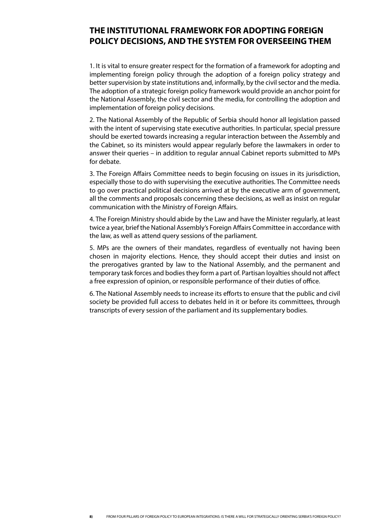### **THE INSTITUTIONAL FRAMEWORK FOR ADOPTING FOREIGN POLICY DECISIONS, AND THE SYSTEM FOR OVERSEEING THEM**

1. It is vital to ensure greater respect for the formation of a framework for adopting and implementing foreign policy through the adoption of a foreign policy strategy and better supervision by state institutions and, informally, by the civil sector and the media. The adoption of a strategic foreign policy framework would provide an anchor point for the National Assembly, the civil sector and the media, for controlling the adoption and implementation of foreign policy decisions.

2. The National Assembly of the Republic of Serbia should honor all legislation passed with the intent of supervising state executive authorities. In particular, special pressure should be exerted towards increasing a regular interaction between the Assembly and the Cabinet, so its ministers would appear regularly before the lawmakers in order to answer their queries – in addition to regular annual Cabinet reports submitted to MPs for debate.

3. The Foreign Affairs Committee needs to begin focusing on issues in its jurisdiction, especially those to do with supervising the executive authorities. The Committee needs to go over practical political decisions arrived at by the executive arm of government, all the comments and proposals concerning these decisions, as well as insist on regular communication with the Ministry of Foreign Affairs.

4. The Foreign Ministry should abide by the Law and have the Minister regularly, at least twice a year, brief the National Assembly's Foreign Affairs Committee in accordance with the law, as well as attend query sessions of the parliament.

5. MPs are the owners of their mandates, regardless of eventually not having been chosen in majority elections. Hence, they should accept their duties and insist on the prerogatives granted by law to the National Assembly, and the permanent and temporary task forces and bodies they form a part of. Partisan loyalties should not affect a free expression of opinion, or responsible performance of their duties of office.

6. The National Assembly needs to increase its efforts to ensure that the public and civil society be provided full access to debates held in it or before its committees, through transcripts of every session of the parliament and its supplementary bodies.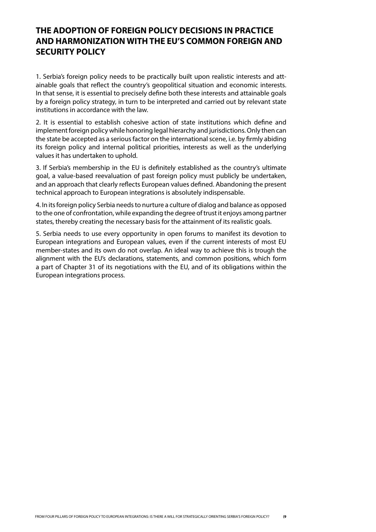## **THE ADOPTION OF FOREIGN POLICY DECISIONS IN PRACTICE AND HARMONIZATION WITH THE EU'S COMMON FOREIGN AND SECURITY POLICY**

1. Serbia's foreign policy needs to be practically built upon realistic interests and attainable goals that reflect the country's geopolitical situation and economic interests. In that sense, it is essential to precisely define both these interests and attainable goals by a foreign policy strategy, in turn to be interpreted and carried out by relevant state institutions in accordance with the law.

2. It is essential to establish cohesive action of state institutions which define and implement foreign policy while honoring legal hierarchy and jurisdictions. Only then can the state be accepted as a serious factor on the international scene, i.e. by firmly abiding its foreign policy and internal political priorities, interests as well as the underlying values it has undertaken to uphold.

3. If Serbia's membership in the EU is definitely established as the country's ultimate goal, a value-based reevaluation of past foreign policy must publicly be undertaken, and an approach that clearly reflects European values defined. Abandoning the present technical approach to European integrations is absolutely indispensable.

4. In its foreign policy Serbia needs to nurture a culture of dialog and balance as opposed to the one of confrontation, while expanding the degree of trust it enjoys among partner states, thereby creating the necessary basis for the attainment of its realistic goals.

5. Serbia needs to use every opportunity in open forums to manifest its devotion to European integrations and European values, even if the current interests of most EU member-states and its own do not overlap. An ideal way to achieve this is trough the alignment with the EU's declarations, statements, and common positions, which form a part of Chapter 31 of its negotiations with the EU, and of its obligations within the European integrations process.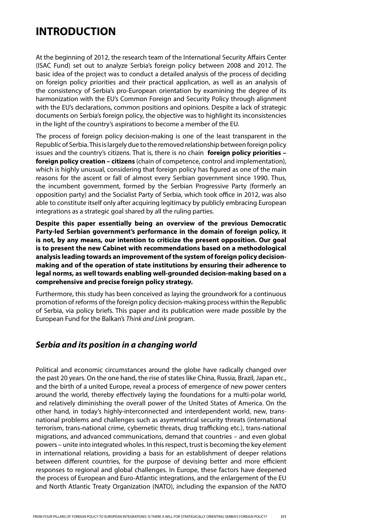## **INTRODUCTION**

At the beginning of 2012, the research team of the International Security Affairs Center (ISAC Fund) set out to analyze Serbia's foreign policy between 2008 and 2012. The basic idea of the project was to conduct a detailed analysis of the process of deciding on foreign policy priorities and their practical application, as well as an analysis of the consistency of Serbia's pro-European orientation by examining the degree of its harmonization with the EU's Common Foreign and Security Policy through alignment with the EU's declarations, common positions and opinions. Despite a lack of strategic documents on Serbia's foreign policy, the objective was to highlight its inconsistencies in the light of the country's aspirations to become a member of the EU.

The process of foreign policy decision-making is one of the least transparent in the Republic of Serbia. This is largely due to the removed relationship between foreign policy issues and the country's citizens. That is, there is no chain **foreign policy priorities – foreign policy creation – citizens** (chain of competence, control and implementation), which is highly unusual, considering that foreign policy has figured as one of the main reasons for the ascent or fall of almost every Serbian government since 1990. Thus, the incumbent government, formed by the Serbian Progressive Party (formerly an opposition party) and the Socialist Party of Serbia, which took office in 2012, was also able to constitute itself only after acquiring legitimacy by publicly embracing European integrations as a strategic goal shared by all the ruling parties.

**Despite this paper essentially being an overview of the previous Democratic Party-led Serbian government's performance in the domain of foreign policy, it is not, by any means, our intention to criticize the present opposition. Our goal is to present the new Cabinet with recommendations based on a methodological analysis leading towards an improvement of the system of foreign policy decisionmaking and of the operation of state institutions by ensuring their adherence to legal norms, as well towards enabling well-grounded decision-making based on a comprehensive and precise foreign policy strategy.**

Furthermore, this study has been conceived as laying the groundwork for a continuous promotion of reforms of the foreign policy decision-making process within the Republic of Serbia, via policy briefs. This paper and its publication were made possible by the European Fund for the Balkan's *Think and Link* program.

### *Serbia and its position in a changing world*

Political and economic circumstances around the globe have radically changed over the past 20 years. On the one hand, the rise of states like China, Russia, Brazil, Japan etc., and the birth of a united Europe, reveal a process of emergence of new power centers around the world, thereby effectively laying the foundations for a multi-polar world, and relatively diminishing the overall power of the United States of America. On the other hand, in today's highly-interconnected and interdependent world, new, transnational problems and challenges such as asymmetrical security threats (international terrorism, trans-national crime, cybernetic threats, drug trafficking etc.), trans-national migrations, and advanced communications, demand that countries – and even global powers – unite into integrated wholes. In this respect, trust is becoming the key element in international relations, providing a basis for an establishment of deeper relations between different countries, for the purpose of devising better and more efficient responses to regional and global challenges. In Europe, these factors have deepened the process of European and Euro-Atlantic integrations, and the enlargement of the EU and North Atlantic Treaty Organization (NATO), including the expansion of the NATO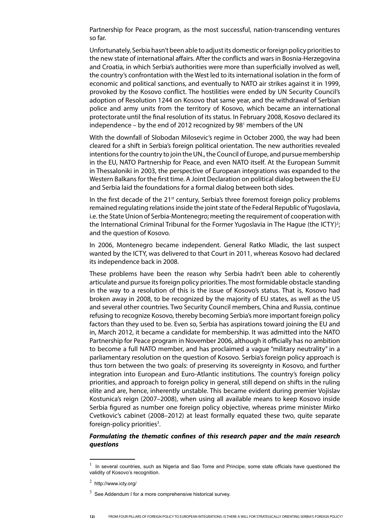Partnership for Peace program, as the most successful, nation-transcending ventures so far.

Unfortunately, Serbia hasn't been able to adjust its domestic or foreign policy priorities to the new state of international affairs. After the conflicts and wars in Bosnia-Herzegovina and Croatia, in which Serbia's authorities were more than superficially involved as well, the country's confrontation with the West led to its international isolation in the form of economic and political sanctions, and eventually to NATO air strikes against it in 1999, provoked by the Kosovo conflict. The hostilities were ended by UN Security Council's adoption of Resolution 1244 on Kosovo that same year, and the withdrawal of Serbian police and army units from the territory of Kosovo, which became an international protectorate until the final resolution of its status. In February 2008, Kosovo declared its independence - by the end of 2012 recognized by 98<sup>1</sup> members of the UN

With the downfall of Slobodan Milosevic's regime in October 2000, the way had been cleared for a shift in Serbia's foreign political orientation. The new authorities revealed intentions for the country to join the UN., the Council of Europe, and pursue membership in the EU, NATO Partnership for Peace, and even NATO itself. At the European Summit in Thessaloniki in 2003, the perspective of European integrations was expanded to the Western Balkans for the first time. A Joint Declaration on political dialog between the EU and Serbia laid the foundations for a formal dialog between both sides.

In the first decade of the  $21^{st}$  century, Serbia's three foremost foreign policy problems remained regulating relations inside the joint state of the Federal Republic of Yugoslavia, i.e. the State Union of Serbia-Montenegro; meeting the requirement of cooperation with the International Criminal Tribunal for the Former Yugoslavia in The Hague (the ICTY)<sup>2</sup>; and the question of Kosovo.

In 2006, Montenegro became independent. General Ratko Mladic, the last suspect wanted by the ICTY, was delivered to that Court in 2011, whereas Kosovo had declared its independence back in 2008.

These problems have been the reason why Serbia hadn't been able to coherently articulate and pursue its foreign policy priorities. The most formidable obstacle standing in the way to a resolution of this is the issue of Kosovo's status. That is, Kosovo had broken away in 2008, to be recognized by the majority of EU states, as well as the US and several other countries. Two Security Council members, China and Russia, continue refusing to recognize Kosovo, thereby becoming Serbia's more important foreign policy factors than they used to be. Even so, Serbia has aspirations toward joining the EU and in, March 2012, it became a candidate for membership. It was admitted into the NATO Partnership for Peace program in November 2006, although it officially has no ambition to become a full NATO member, and has proclaimed a vague "military neutrality" in a parliamentary resolution on the question of Kosovo. Serbia's foreign policy approach is thus torn between the two goals: of preserving its sovereignty in Kosovo, and further integration into European and Euro-Atlantic institutions. The country's foreign policy priorities, and approach to foreign policy in general, still depend on shifts in the ruling elite and are, hence, inherently unstable. This became evident during premier Vojislav Kostunica's reign (2007–2008), when using all available means to keep Kosovo inside Serbia figured as number one foreign policy objective, whereas prime minister Mirko Cvetkovic's cabinet (2008–2012) at least formally equated these two, quite separate foreign-policy priorities<sup>3</sup>.

#### *Formulating the thematic confines of this research paper and the main research questions*

<sup>1</sup> In several countries, such as Nigeria and Sao Tome and Principe, some state officials have questioned the validity of Kosovo's recognition.

 $^2$  http://www.icty.org/

 $3\overline{)}$  See Addendum I for a more comprehensive historical survey.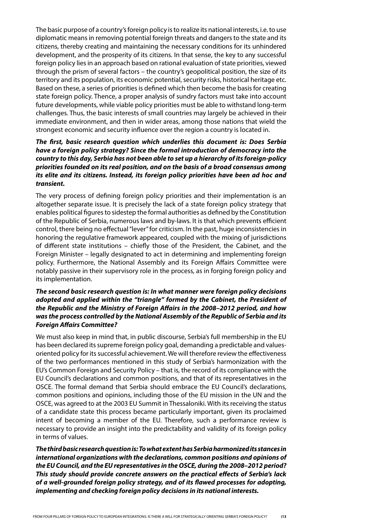The basic purpose of a country's foreign policy is to realize its national interests, i.e. to use diplomatic means in removing potential foreign threats and dangers to the state and its citizens, thereby creating and maintaining the necessary conditions for its unhindered development, and the prosperity of its citizens. In that sense, the key to any successful foreign policy lies in an approach based on rational evaluation of state priorities, viewed through the prism of several factors – the country's geopolitical position, the size of its territory and its population, its economic potential, security risks, historical heritage etc. Based on these, a series of priorities is defined which then become the basis for creating state foreign policy. Thence, a proper analysis of sundry factors must take into account future developments, while viable policy priorities must be able to withstand long-term challenges. Thus, the basic interests of small countries may largely be achieved in their immediate environment, and then in wider areas, among those nations that wield the strongest economic and security influence over the region a country is located in.

### *The first, basic research question which underlies this document is: Does Serbia have a foreign policy strategy? Since the formal introduction of democracy into the country to this day, Serbia has not been able to set up a hierarchy of its foreign-policy priorities founded on its real position, and on the basis of a broad consensus among its elite and its citizens. Instead, its foreign policy priorities have been ad hoc and transient.*

The very process of defining foreign policy priorities and their implementation is an altogether separate issue. It is precisely the lack of a state foreign policy strategy that enables political figures to sidestep the formal authorities as defined by the Constitution of the Republic of Serbia, numerous laws and by-laws. It is that which prevents efficient control, there being no effectual "lever" for criticism. In the past, huge inconsistencies in honoring the regulative framework appeared, coupled with the mixing of jurisdictions of different state institutions – chiefly those of the President, the Cabinet, and the Foreign Minister – legally designated to act in determining and implementing foreign policy. Furthermore, the National Assembly and its Foreign Affairs Committee were notably passive in their supervisory role in the process, as in forging foreign policy and its implementation.

### *The second basic research question is: In what manner were foreign policy decisions adopted and applied within the "triangle" formed by the Cabinet, the President of the Republic and the Ministry of Foreign Affairs in the 2008–2012 period, and how was the process controlled by the National Assembly of the Republic of Serbia and its Foreign Affairs Committee?*

We must also keep in mind that, in public discourse, Serbia's full membership in the EU has been declared its supreme foreign policy goal, demanding a predictable and valuesoriented policy for its successful achievement. We will therefore review the effectiveness of the two performances mentioned in this study of Serbia's harmonization with the EU's Common Foreign and Security Policy – that is, the record of its compliance with the EU Council's declarations and common positions, and that of its representatives in the OSCE. The formal demand that Serbia should embrace the EU Council's declarations, common positions and opinions, including those of the EU mission in the UN and the OSCE, was agreed to at the 2003 EU Summit in Thessaloniki. With its receiving the status of a candidate state this process became particularly important, given its proclaimed intent of becoming a member of the EU. Therefore, such a performance review is necessary to provide an insight into the predictability and validity of its foreign policy in terms of values.

*The third basic research question is: To what extent has Serbia harmonized its stances in international organizations with the declarations, common positions and opinions of the EU Council, and the EU representatives in the OSCE, during the 2008–2012 period? This study should provide concrete answers on the practical effects of Serbia's lack of a well-grounded foreign policy strategy, and of its flawed processes for adopting, implementing and checking foreign policy decisions in its national interests.*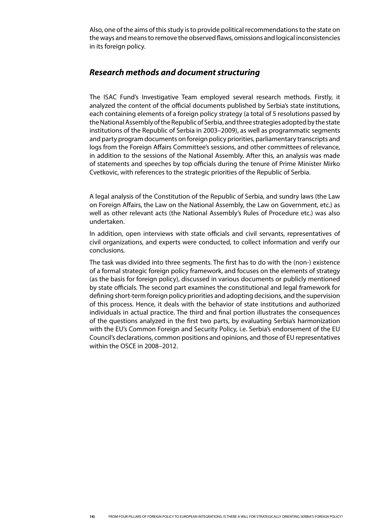Also, one of the aims of this study is to provide political recommendations to the state on the ways and means to remove the observed flaws, omissions and logical inconsistencies in its foreign policy.

### *Research methods and document structuring*

The ISAC Fund's Investigative Team employed several research methods. Firstly, it analyzed the content of the official documents published by Serbia's state institutions, each containing elements of a foreign policy strategy (a total of 5 resolutions passed by the National Assembly of the Republic of Serbia, and three strategies adopted by the state institutions of the Republic of Serbia in 2003–2009), as well as programmatic segments and party program documents on foreign policy priorities, parliamentary transcripts and logs from the Foreign Affairs Committee's sessions, and other committees of relevance, in addition to the sessions of the National Assembly. After this, an analysis was made of statements and speeches by top officials during the tenure of Prime Minister Mirko Cvetkovic, with references to the strategic priorities of the Republic of Serbia.

A legal analysis of the Constitution of the Republic of Serbia, and sundry laws (the Law on Foreign Affairs, the Law on the National Assembly, the Law on Government, etc.) as well as other relevant acts (the National Assembly's Rules of Procedure etc.) was also undertaken.

In addition, open interviews with state officials and civil servants, representatives of civil organizations, and experts were conducted, to collect information and verify our conclusions.

The task was divided into three segments. The first has to do with the (non-) existence of a formal strategic foreign policy framework, and focuses on the elements of strategy (as the basis for foreign policy), discussed in various documents or publicly mentioned by state officials. The second part examines the constitutional and legal framework for defining short-term foreign policy priorities and adopting decisions, and the supervision of this process. Hence, it deals with the behavior of state institutions and authorized individuals in actual practice. The third and final portion illustrates the consequences of the questions analyzed in the first two parts, by evaluating Serbia's harmonization with the EU's Common Foreign and Security Policy, i.e. Serbia's endorsement of the EU Council's declarations, common positions and opinions, and those of EU representatives within the OSCE in 2008–2012.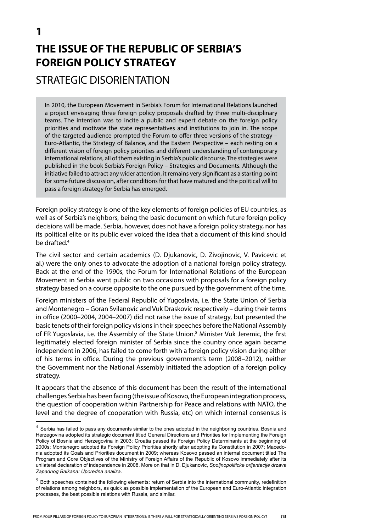# **THE ISSUE OF THE REPUBLIC OF SERBIA'S FOREIGN POLICY STRATEGY**

STRATEGIC DISORIENTATION

In 2010, the European Movement in Serbia's Forum for International Relations launched a project envisaging three foreign policy proposals drafted by three multi-disciplinary teams. The intention was to incite a public and expert debate on the foreign policy priorities and motivate the state representatives and institutions to join in. The scope of the targeted audience prompted the Forum to offer three versions of the strategy – Euro-Atlantic, the Strategy of Balance, and the Eastern Perspective – each resting on a different vision of foreign policy priorities and different understanding of contemporary international relations, all of them existing in Serbia's public discourse. The strategies were published in the book Serbia's Foreign Policy – Strategies and Documents. Although the initiative failed to attract any wider attention, it remains very significant as a starting point for some future discussion, after conditions for that have matured and the political will to pass a foreign strategy for Serbia has emerged.

Foreign policy strategy is one of the key elements of foreign policies of EU countries, as well as of Serbia's neighbors, being the basic document on which future foreign policy decisions will be made. Serbia, however, does not have a foreign policy strategy, nor has its political elite or its public ever voiced the idea that a document of this kind should be drafted.4

The civil sector and certain academics (D. Djukanovic, D. Zivojinovic, V. Pavicevic et al.) were the only ones to advocate the adoption of a national foreign policy strategy. Back at the end of the 1990s, the Forum for International Relations of the European Movement in Serbia went public on two occasions with proposals for a foreign policy strategy based on a course opposite to the one pursued by the government of the time.

Foreign ministers of the Federal Republic of Yugoslavia, i.e. the State Union of Serbia and Montenegro – Goran Svilanovic and Vuk Draskovic respectively – during their terms in office (2000–2004, 2004–2007) did not raise the issue of strategy, but presented the basic tenets of their foreign policy visions in their speeches before the National Assembly of FR Yugoslavia, i.e. the Assembly of the State Union.<sup>5</sup> Minister Vuk Jeremic, the first legitimately elected foreign minister of Serbia since the country once again became independent in 2006, has failed to come forth with a foreign policy vision during either of his terms in office. During the previous government's term (2008–2012), neither the Government nor the National Assembly initiated the adoption of a foreign policy strategy.

It appears that the absence of this document has been the result of the international challenges Serbia has been facing (the issue of Kosovo, the European integration process, the question of cooperation within Partnership for Peace and relations with NATO, the level and the degree of cooperation with Russia, etc) on which internal consensus is

 $4$  Serbia has failed to pass any documents similar to the ones adopted in the neighboring countries. Bosnia and Herzegovina adopted its strategic document titled General Directions and Priorities for Implementing the Foreign Policy of Bosnia and Herzegovina in 2003; Croatia passed its Foreign Policy Determinants at the beginning of 2000s; Montenegro adopted its Foreign Policy Priorities shortly after adopting its Constitution in 2007; Macedonia adopted its Goals and Priorities document in 2009; whereas Kosovo passed an internal document titled The Program and Core Objectives of the Ministry of Foreign Affairs of the Republic of Kosovo immediately after its unilateral declaration of independence in 2008. More on that in D. Djukanovic, *Spoljnopoliticke orijentacije drzava Zapadnog Balkana: Uporedna analiza*.

 $5$  Both speeches contained the following elements: return of Serbia into the international community, redefinition of relations among neighbors, as quick as possible implementation of the European and Euro-Atlantic integration processes, the best possible relations with Russia, and similar.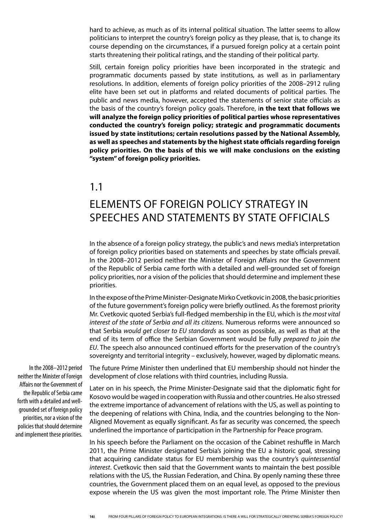hard to achieve, as much as of its internal political situation. The latter seems to allow politicians to interpret the country's foreign policy as they please, that is, to change its course depending on the circumstances, if a pursued foreign policy at a certain point starts threatening their political ratings, and the standing of their political party.

Still, certain foreign policy priorities have been incorporated in the strategic and programmatic documents passed by state institutions, as well as in parliamentary resolutions. In addition, elements of foreign policy priorities of the 2008–2912 ruling elite have been set out in platforms and related documents of political parties. The public and news media, however, accepted the statements of senior state officials as the basis of the country's foreign policy goals. Therefore, i**n the text that follows we will analyze the foreign policy priorities of political parties whose representatives conducted the country's foreign policy; strategic and programmatic documents issued by state institutions; certain resolutions passed by the National Assembly, as well as speeches and statements by the highest state officials regarding foreign policy priorities. On the basis of this we will make conclusions on the existing "system" of foreign policy priorities.**

## 1.1

## Elements of foreign policy strategy in speeches and statements by state officials

In the absence of a foreign policy strategy, the public's and news media's interpretation of foreign policy priorities based on statements and speeches by state officials prevail. In the 2008–2012 period neither the Minister of Foreign Affairs nor the Government of the Republic of Serbia came forth with a detailed and well-grounded set of foreign policy priorities, nor a vision of the policies that should determine and implement these priorities.

In the expose of the Prime Minister-Designate Mirko Cvetkovic in 2008, the basic priorities of the future government's foreign policy were briefly outlined. As the foremost priority Mr. Cvetkovic quoted Serbia's full-fledged membership in the EU, which is *the most vital interest of the state of Serbia and all its citizens*. Numerous reforms were announced so that Serbia *would get closer to EU standards* as soon as possible, as well as that at the end of its term of office the Serbian Government would be fully *prepared to join the EU*. The speech also announced continued efforts for the preservation of the country's sovereignty and territorial integrity – exclusively, however, waged by diplomatic means.

In the 2008–2012 period neither the Minister of Foreign Affairs nor the Government of the Republic of Serbia came forth with a detailed and wellgrounded set of foreign policy priorities, nor a vision of the policies that should determine and implement these priorities.

The future Prime Minister then underlined that EU membership should not hinder the development of close relations with third countries, including Russia.

Later on in his speech, the Prime Minister-Designate said that the diplomatic fight for Kosovo would be waged in cooperation with Russia and other countries. He also stressed the extreme importance of advancement of relations with the US, as well as pointing to the deepening of relations with China, India, and the countries belonging to the Non-Aligned Movement as equally significant. As far as security was concerned, the speech underlined the importance of participation in the Partnership for Peace program.

In his speech before the Parliament on the occasion of the Cabinet reshuffle in March 2011, the Prime Minister designated Serbia's joining the EU a historic goal, stressing that acquiring candidate status for EU membership was the country's *quintessential interest*. Cvetkovic then said that the Government wants to maintain the best possible relations with the US, the Russian Federation, and China. By openly naming these three countries, the Government placed them on an equal level, as opposed to the previous expose wherein the US was given the most important role. The Prime Minister then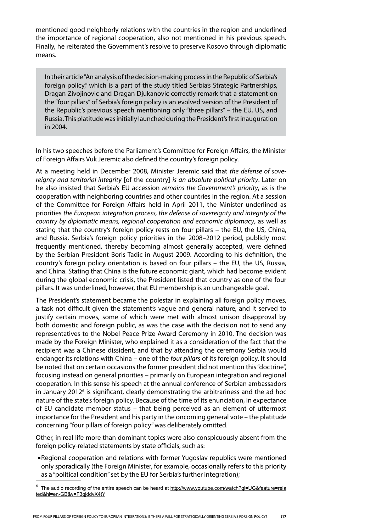mentioned good neighborly relations with the countries in the region and underlined the importance of regional cooperation, also not mentioned in his previous speech. Finally, he reiterated the Government's resolve to preserve Kosovo through diplomatic means.

In their article "An analysis of the decision-making process in the Republic of Serbia's foreign policy," which is a part of the study titled Serbia's Strategic Partnerships, Dragan Zivojinovic and Dragan Djukanovic correctly remark that a statement on the "four pillars" of Serbia's foreign policy is an evolved version of the President of the Republic's previous speech mentioning only "three pillars" – the EU, US, and Russia. This platitude was initially launched during the President's first inauguration in 2004.

In his two speeches before the Parliament's Committee for Foreign Affairs, the Minister of Foreign Affairs Vuk Jeremic also defined the country's foreign policy.

At a meeting held in December 2008, Minister Jeremic said that *the defense of sovereignty and territorial integrity* [of the country] *is an absolute political priority*. Later on he also insisted that Serbia's EU accession *remains the Government's priority*, as is the cooperation with neighboring countries and other countries in the region. At a session of the Committee for Foreign Affairs held in April 2011, the Minister underlined as priorities *the European integration process, the defense of sovereignty and integrity of the country by diplomatic means, regional cooperation and economic diplomacy*, as well as stating that the country's foreign policy rests on four pillars – the EU, the US, China, and Russia. Serbia's foreign policy priorities in the 2008–2012 period, publicly most frequently mentioned, thereby becoming almost generally accepted, were defined by the Serbian President Boris Tadic in August 2009. According to his definition, the country's foreign policy orientation is based on four pillars – the EU, the US, Russia, and China. Stating that China is the future economic giant, which had become evident during the global economic crisis, the President listed that country as one of the four pillars. It was underlined, however, that EU membership is an unchangeable goal.

The President's statement became the polestar in explaining all foreign policy moves, a task not difficult given the statement's vague and general nature, and it served to justify certain moves, some of which were met with almost unison disapproval by both domestic and foreign public, as was the case with the decision not to send any representatives to the Nobel Peace Prize Award Ceremony in 2010. The decision was made by the Foreign Minister, who explained it as a consideration of the fact that the recipient was a Chinese dissident, and that by attending the ceremony Serbia would endanger its relations with China – one of the *four pillars* of its foreign policy. It should be noted that on certain occasions the former president did not mention this "doctrine", focusing instead on general priorities – primarily on European integration and regional cooperation. In this sense his speech at the annual conference of Serbian ambassadors in January 2012<sup>6</sup> is significant, clearly demonstrating the arbitrariness and the ad hoc nature of the state's foreign policy. Because of the time of its enunciation, in expectance of EU candidate member status – that being perceived as an element of uttermost importance for the President and his party in the oncoming general vote – the platitude concerning "four pillars of foreign policy" was deliberately omitted.

Other, in real life more than dominant topics were also conspicuously absent from the foreign policy-related statements by state officials, such as:

• Regional cooperation and relations with former Yugoslav republics were mentioned only sporadically (the Foreign Minister, for example, occasionally refers to this priority as a "political condition" set by the EU for Serbia's further integration);

<sup>6</sup> The audio recording of the entire speech can be heard at http://www.youtube.com/watch?gl=UG&feature=rela ted&hl=en-GB&v=F3gjddvX4tY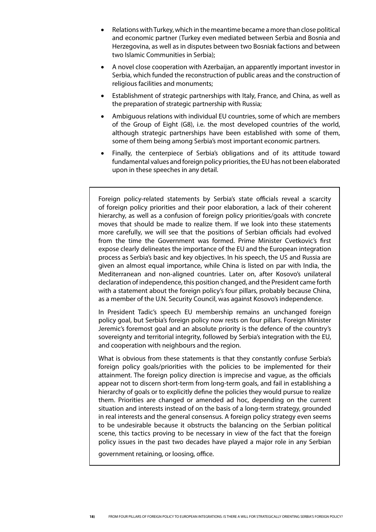- Relations with Turkey, which in the meantime became a more than close political and economic partner (Turkey even mediated between Serbia and Bosnia and Herzegovina, as well as in disputes between two Bosniak factions and between two Islamic Communities in Serbia);
- A novel close cooperation with Azerbaijan, an apparently important investor in Serbia, which funded the reconstruction of public areas and the construction of religious facilities and monuments;
- Establishment of strategic partnerships with Italy, France, and China, as well as the preparation of strategic partnership with Russia;
- Ambiguous relations with individual EU countries, some of which are members of the Group of Eight (G8), i.e. the most developed countries of the world, although strategic partnerships have been established with some of them, some of them being among Serbia's most important economic partners.
- Finally, the centerpiece of Serbia's obligations and of its attitude toward fundamental values and foreign policy priorities, the EU has not been elaborated upon in these speeches in any detail.

Foreign policy-related statements by Serbia's state officials reveal a scarcity of foreign policy priorities and their poor elaboration, a lack of their coherent hierarchy, as well as a confusion of foreign policy priorities/goals with concrete moves that should be made to realize them. If we look into these statements more carefully, we will see that the positions of Serbian officials had evolved from the time the Government was formed. Prime Minister Cvetkovic's first expose clearly delineates the importance of the EU and the European integration process as Serbia's basic and key objectives. In his speech, the US and Russia are given an almost equal importance, while China is listed on par with India, the Mediterranean and non-aligned countries. Later on, after Kosovo's unilateral declaration of independence, this position changed, and the President came forth with a statement about the foreign policy's four pillars, probably because China, as a member of the U.N. Security Council, was against Kosovo's independence.

In President Tadic's speech EU membership remains an unchanged foreign policy goal, but Serbia's foreign policy now rests on four pillars. Foreign Minister Jeremic's foremost goal and an absolute priority is the defence of the country's sovereignty and territorial integrity, followed by Serbia's integration with the EU, and cooperation with neighbours and the region.

What is obvious from these statements is that they constantly confuse Serbia's foreign policy goals/priorities with the policies to be implemented for their attainment. The foreign policy direction is imprecise and vague, as the officials appear not to discern short-term from long-term goals, and fail in establishing a hierarchy of goals or to explicitly define the policies they would pursue to realize them. Priorities are changed or amended ad hoc, depending on the current situation and interests instead of on the basis of a long-term strategy, grounded in real interests and the general consensus. A foreign policy strategy even seems to be undesirable because it obstructs the balancing on the Serbian political scene, this tactics proving to be necessary in view of the fact that the foreign policy issues in the past two decades have played a major role in any Serbian

government retaining, or loosing, office.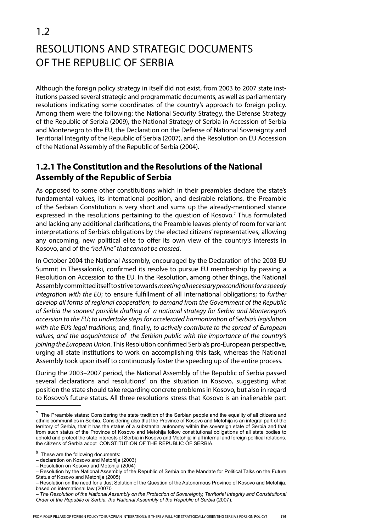## 1.2 Resolutions and Strategic Documents of the Republic of Serbia

Although the foreign policy strategy in itself did not exist, from 2003 to 2007 state institutions passed several strategic and programmatic documents, as well as parliamentary resolutions indicating some coordinates of the country's approach to foreign policy. Among them were the following: the National Security Strategy, the Defense Strategy of the Republic of Serbia (2009), the National Strategy of Serbia in Accession of Serbia and Montenegro to the EU, the Declaration on the Defense of National Sovereignty and Territorial Integrity of the Republic of Serbia (2007), and the Resolution on EU Accession of the National Assembly of the Republic of Serbia (2004).

## **1.2.1 The Constitution and the Resolutions of the National Assembly of the Republic of Serbia**

As opposed to some other constitutions which in their preambles declare the state's fundamental values, its international position, and desirable relations, the Preamble of the Serbian Constitution is very short and sums up the already-mentioned stance expressed in the resolutions pertaining to the question of Kosovo.<sup>7</sup> Thus formulated and lacking any additional clarifications, the Preamble leaves plenty of room for variant interpretations of Serbia's obligations by the elected citizens' representatives, allowing any oncoming, new political elite to offer its own view of the country's interests in Kosovo, and of the *"red line" that cannot be crossed*.

In October 2004 the National Assembly, encouraged by the Declaration of the 2003 EU Summit in Thessaloniki, confirmed its resolve to pursue EU membership by passing a Resolution on Accession to the EU. In the Resolution, among other things, the National Assembly committed itself to strive towards *meeting all necessary preconditions for a speedy integration with the EU*; to ensure fulfillment of all international obligations; to *further develop all forms of regional cooperation*; *to demand from the Government of the Republic of Serbia the soonest possible drafting of a national strategy for Serbia and Montenegro's accession to the EU*; *to undertake steps for accelerated harmonization of Serbia's legislation with the EU's legal traditions*; and, finally, *to actively contribute to the spread of European values, and the acquaintance of the Serbian public with the importance of the country's joining the European Union*. This Resolution confirmed Serbia's pro-European perspective, urging all state institutions to work on accomplishing this task, whereas the National Assembly took upon itself to continuously foster the speeding up of the entire process.

During the 2003–2007 period, the National Assembly of the Republic of Serbia passed several declarations and resolutions<sup>8</sup> on the situation in Kosovo, suggesting what position the state should take regarding concrete problems in Kosovo, but also in regard to Kosovo's future status. All three resolutions stress that Kosovo is an inalienable part

 $^7$  The Preamble states: Considering the state tradition of the Serbian people and the equality of all citizens and ethnic communities in Serbia. Considering also that the Province of Kosovo and Metohija is an integral part of the territory of Serbia, that it has the status of a substantial autonomy within the sovereign state of Serbia and that from such status of the Province of Kosovo and Metohija follow constitutional obligations of all state bodies to uphold and protect the state interests of Serbia in Kosovo and Metohija in all internal and foreign political relations, the citizens of Serbia adopt CONSTITUTION OF THE REPUBLIC OF SERBIA.

 $8<sup>8</sup>$  These are the following documents:

<sup>–</sup> declaration on Kosovo and Metohija (2003)

<sup>–</sup> Resolution on Kosovo and Metohija (2004)

<sup>–</sup> Resolution by the National Assembly of the Republic of Serbia on the Mandate for Political Talks on the Future Status of Kosovo and Metohija (2005)

<sup>–</sup> Resolution on the need for a Just Solution of the Question of the Autonomous Province of Kosovo and Metohija, based on international law (20070

<sup>–</sup> *The Resolution of the National Assembly on the Protection of Sovereignty, Territorial Integrity and Constitutional Order of the Republic of Serbia, the National Assembly of the Republic of Serbia* (2007).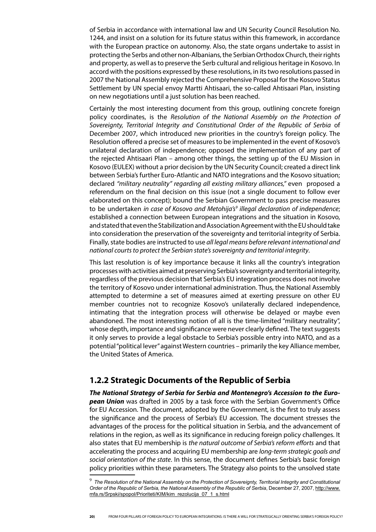of Serbia in accordance with international law and UN Security Council Resolution No. 1244, and insist on a solution for its future status within this framework, in accordance with the European practice on autonomy. Also, the state organs undertake to assist in protecting the Serbs and other non-Albanians, the Serbian Orthodox Church, their rights and property, as well as to preserve the Serb cultural and religious heritage in Kosovo. In accord with the positions expressed by these resolutions, in its two resolutions passed in 2007 the National Assembly rejected the Comprehensive Proposal for the Kosovo Status Settlement by UN special envoy Martti Ahtisaari, the so-called Ahtisaari Plan, insisting on new negotiations until a just solution has been reached.

Certainly the most interesting document from this group, outlining concrete foreign policy coordinates, is the *Resolution of the National Assembly on the Protection of Sovereignty, Territorial Integrity and Constitutional Order of the Republic of Serbia* of December 2007, which introduced new priorities in the country's foreign policy. The Resolution offered a precise set of measures to be implemented in the event of Kosovo's unilateral declaration of independence; opposed the implementation of any part of the rejected Ahtisaari Plan – among other things, the setting up of the EU Mission in Kosovo (EULEX) without a prior decision by the UN Security Council; created a direct link between Serbia's further Euro-Atlantic and NATO integrations and the Kosovo situation; declared *"military neutrality" regarding all existing military alliances,"* even proposed a referendum on the final decision on this issue (not a single document to follow ever elaborated on this concept); bound the Serbian Government to pass precise measures to be undertaken *in case of Kosovo and Metohija's9 illegal declaration of independence*; established a connection between European integrations and the situation in Kosovo, and stated that even the Stabilization and Association Agreement with the EU should take into consideration the preservation of the sovereignty and territorial integrity of Serbia. Finally, state bodies are instructed to use *all legal means before relevant international and national courts to protect the Serbian state's sovereignty and territorial integrity*.

This last resolution is of key importance because it links all the country's integration processes with activities aimed at preserving Serbia's sovereignty and territorial integrity, regardless of the previous decision that Serbia's EU integration process does not involve the territory of Kosovo under international administration. Thus, the National Assembly attempted to determine a set of measures aimed at exerting pressure on other EU member countries not to recognize Kosovo's unilaterally declared independence, intimating that the integration process will otherwise be delayed or maybe even abandoned. The most interesting notion of all is the time-limited "military neutrality", whose depth, importance and significance were never clearly defined. The text suggests it only serves to provide a legal obstacle to Serbia's possible entry into NATO, and as a potential "political lever" against Western countries – primarily the key Alliance member, the United States of America.

### **1.2.2 Strategic Documents of the Republic of Serbia**

*The National Strategy of Serbia for Serbia and Montenegro's Accession to the European Union* was drafted in 2005 by a task force with the Serbian Government's Office for EU Accession. The document, adopted by the Government, is the first to truly assess the significance and the process of Serbia's EU accession. The document stresses the advantages of the process for the political situation in Serbia, and the advancement of relations in the region, as well as its significance in reducing foreign policy challenges. It also states that EU membership is *the natural outcome of Serbia's reform efforts* and that accelerating the process and acquiring EU membership are *long-term strategic goals and social orientation of the state*. In this sense, the document defines Serbia's basic foreign policy priorities within these parameters. The Strategy also points to the unsolved state

<sup>&</sup>lt;sup>9</sup> The Resolution of the National Assembly on the Protection of Sovereignty, Territorial Integrity and Constitutional *Order of the Republic of Serbia, the National Assembly of the Republic of Serbia*, December 27, 2007, http://www. mfa.rs/Srpski/spopol/Prioriteti/KIM/kim\_rezolucija\_07\_1\_s.html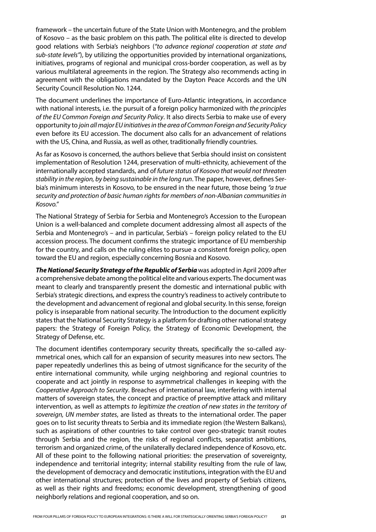framework – the uncertain future of the State Union with Montenegro, and the problem of Kosovo – as the basic problem on this path. The political elite is directed to develop good relations with Serbia's neighbors (*"to advance regional cooperation at state and sub-state levels"*), by utilizing the opportunities provided by international organizations, initiatives, programs of regional and municipal cross-border cooperation, as well as by various multilateral agreements in the region. The Strategy also recommends acting in agreement with the obligations mandated by the Dayton Peace Accords and the UN Security Council Resolution No. 1244.

The document underlines the importance of Euro-Atlantic integrations, in accordance with national interests, i.e. the pursuit of a foreign policy harmonized with *the principles of the EU Common Foreign and Security Policy*. It also directs Serbia to make use of every opportunity to *join all major EU initiatives in the area of Common Foreign and Security Policy*  even before its EU accession. The document also calls for an advancement of relations with the US, China, and Russia, as well as other, traditionally friendly countries.

As far as Kosovo is concerned, the authors believe that Serbia should insist on consistent implementation of Resolution 1244, preservation of multi-ethnicity, achievement of the internationally accepted standards, and of *future status of Kosovo that would not threaten stability in the region, by being sustainable in the long run*. The paper, however, defines Serbia's minimum interests in Kosovo, to be ensured in the near future, those being *"a true security and protection of basic human rights for members of non-Albanian communities in Kosovo."*

The National Strategy of Serbia for Serbia and Montenegro's Accession to the European Union is a well-balanced and complete document addressing almost all aspects of the Serbia and Montenegro's – and in particular, Serbia's – foreign policy related to the EU accession process. The document confirms the strategic importance of EU membership for the country, and calls on the ruling elites to pursue a consistent foreign policy, open toward the EU and region, especially concerning Bosnia and Kosovo.

*The National Security Strategy of the Republic of Serbia* was adopted in April 2009 after a comprehensive debate among the political elite and various experts. The document was meant to clearly and transparently present the domestic and international public with Serbia's strategic directions, and express the country's readiness to actively contribute to the development and advancement of regional and global security. In this sense, foreign policy is inseparable from national security. The Introduction to the document explicitly states that the National Security Strategy is a platform for drafting other national strategy papers: the Strategy of Foreign Policy, the Strategy of Economic Development, the Strategy of Defense, etc.

The document identifies contemporary security threats, specifically the so-called asymmetrical ones, which call for an expansion of security measures into new sectors. The paper repeatedly underlines this as being of utmost significance for the security of the entire international community, while urging neighboring and regional countries to cooperate and act jointly in response to asymmetrical challenges in keeping with the *Cooperative Approach to Security*. Breaches of international law, interfering with internal matters of sovereign states, the concept and practice of preemptive attack and military intervention, as well as attempts *to legitimize the creation of new states in the territory of sovereign, UN member states*, are listed as threats to the international order. The paper goes on to list security threats to Serbia and its immediate region (the Western Balkans), such as aspirations of other countries to take control over geo-strategic transit routes through Serbia and the region, the risks of regional conflicts, separatist ambitions, terrorism and organized crime, of the unilaterally declared independence of Kosovo, etc. All of these point to the following national priorities: the preservation of sovereignty, independence and territorial integrity; internal stability resulting from the rule of law, the development of democracy and democratic institutions, integration with the EU and other international structures; protection of the lives and property of Serbia's citizens, as well as their rights and freedoms; economic development, strengthening of good neighborly relations and regional cooperation, and so on.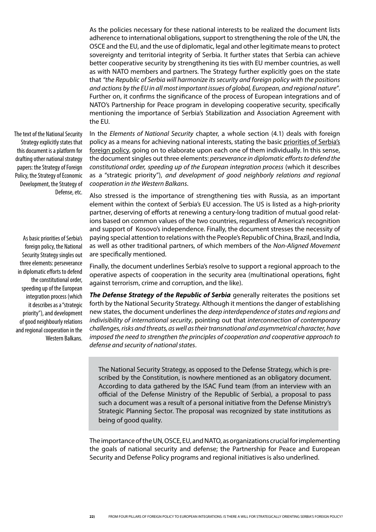As the policies necessary for these national interests to be realized the document lists adherence to international obligations, support to strengthening the role of the UN, the OSCE and the EU, and the use of diplomatic, legal and other legitimate means to protect sovereignty and territorial integrity of Serbia. It further states that Serbia can achieve better cooperative security by strengthening its ties with EU member countries, as well as with NATO members and partners. The Strategy further explicitly goes on the state that *"the Republic of Serbia will harmonize its security and foreign policy with the positions and actions by the EU in all most important issues of global, European, and regional nature"*. Further on, it confirms the significance of the process of European integrations and of NATO's Partnership for Peace program in developing cooperative security, specifically mentioning the importance of Serbia's Stabilization and Association Agreement with the EU.

The text of the National Security Strategy explicitly states that this document is a platform for drafting other national strategy papers: the Strategy of Foreign Policy, the Strategy of Economic Development, the Strategy of Defense, etc.

As basic priorities of Serbia's foreign policy, the National Security Strategy singles out three elements: perseverance in diplomatic efforts to defend the constitutional order, speeding up of the European integration process (which it describes as a "strategic priority"), and development of good neighbourly relations and regional cooperation in the Western Balkans.

In the *Elements of National Security* chapter, a whole section (4.1) deals with foreign policy as a means for achieving national interests, stating the basic priorities of Serbia's foreign policy, going on to elaborate upon each one of them individually. In this sense, the document singles out three elements: *perseverance in diplomatic efforts to defend the constitutional order, speeding up of the European integration process* (which it describes as a "strategic priority"), *and development of good neighborly relations and regional cooperation in the Western Balkans*.

Also stressed is the importance of strengthening ties with Russia, as an important element within the context of Serbia's EU accession. The US is listed as a high-priority partner, deserving of efforts at renewing a century-long tradition of mutual good relations based on common values of the two countries, regardless of America's recognition and support of Kosovo's independence. Finally, the document stresses the necessity of paying special attention to relations with the People's Republic of China, Brazil, and India, as well as other traditional partners, of which members of the *Non-Aligned Movement* are specifically mentioned.

Finally, the document underlines Serbia's resolve to support a regional approach to the operative aspects of cooperation in the security area (multinational operations, fight against terrorism, crime and corruption, and the like).

*The Defense Strategy of the Republic of Serbia* generally reiterates the positions set forth by the National Security Strategy. Although it mentions the danger of establishing new states, the document underlines the *deep interdependence of states and regions and indivisibility of international security*, pointing out that *interconnection of contemporary challenges, risks and threats, as well as their transnational and asymmetrical character, have imposed the need to strengthen the principles of cooperation and cooperative approach to defense and security of national states*.

The National Security Strategy, as opposed to the Defense Strategy, which is prescribed by the Constitution, is nowhere mentioned as an obligatory document. According to data gathered by the ISAC Fund team (from an interview with an official of the Defense Ministry of the Republic of Serbia), a proposal to pass such a document was a result of a personal initiative from the Defense Ministry's Strategic Planning Sector. The proposal was recognized by state institutions as being of good quality.

The importance of the UN, OSCE, EU, and NATO, as organizations crucial for implementing the goals of national security and defense; the Partnership for Peace and European Security and Defense Policy programs and regional initiatives is also underlined.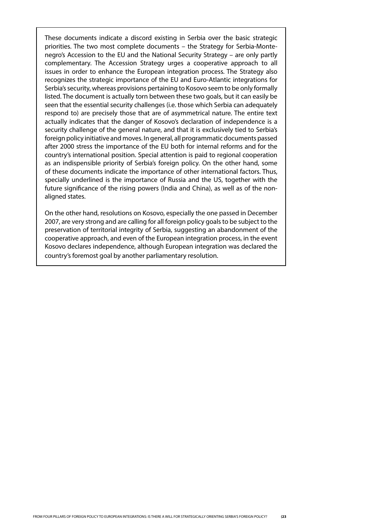These documents indicate a discord existing in Serbia over the basic strategic priorities. The two most complete documents – the Strategy for Serbia-Montenegro's Accession to the EU and the National Security Strategy – are only partly complementary. The Accession Strategy urges a cooperative approach to all issues in order to enhance the European integration process. The Strategy also recognizes the strategic importance of the EU and Euro-Atlantic integrations for Serbia's security, whereas provisions pertaining to Kosovo seem to be only formally listed. The document is actually torn between these two goals, but it can easily be seen that the essential security challenges (i.e. those which Serbia can adequately respond to) are precisely those that are of asymmetrical nature. The entire text actually indicates that the danger of Kosovo's declaration of independence is a security challenge of the general nature, and that it is exclusively tied to Serbia's foreign policy initiative and moves. In general, all programmatic documents passed after 2000 stress the importance of the EU both for internal reforms and for the country's international position. Special attention is paid to regional cooperation as an indispensible priority of Serbia's foreign policy. On the other hand, some of these documents indicate the importance of other international factors. Thus, specially underlined is the importance of Russia and the US, together with the future significance of the rising powers (India and China), as well as of the nonaligned states.

On the other hand, resolutions on Kosovo, especially the one passed in December 2007, are very strong and are calling for all foreign policy goals to be subject to the preservation of territorial integrity of Serbia, suggesting an abandonment of the cooperative approach, and even of the European integration process, in the event Kosovo declares independence, although European integration was declared the country's foremost goal by another parliamentary resolution.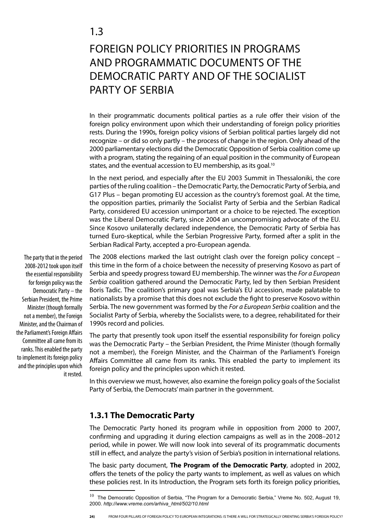## Foreign Policy Priorities in Programs and Programmatic Documents of the Democratic Party and of the Socialist Party of Serbia

In their programmatic documents political parties as a rule offer their vision of the foreign policy environment upon which their understanding of foreign policy priorities rests. During the 1990s, foreign policy visions of Serbian political parties largely did not recognize – or did so only partly – the process of change in the region. Only ahead of the 2000 parliamentary elections did the Democratic Opposition of Serbia coalition come up with a program, stating the regaining of an equal position in the community of European states, and the eventual accession to EU membership, as its goal.<sup>10</sup>

In the next period, and especially after the EU 2003 Summit in Thessaloniki, the core parties of the ruling coalition – the Democratic Party, the Democratic Party of Serbia, and G17 Plus – began promoting EU accession as the country's foremost goal. At the time, the opposition parties, primarily the Socialist Party of Serbia and the Serbian Radical Party, considered EU accession unimportant or a choice to be rejected. The exception was the Liberal Democratic Party, since 2004 an uncompromising advocate of the EU. Since Kosovo unilaterally declared independence, the Democratic Party of Serbia has turned Euro-skeptical, while the Serbian Progressive Party, formed after a split in the Serbian Radical Party, accepted a pro-European agenda.

The 2008 elections marked the last outright clash over the foreign policy concept – this time in the form of a choice between the necessity of preserving Kosovo as part of Serbia and speedy progress toward EU membership. The winner was the *For a European Serbia* coalition gathered around the Democratic Party, led by then Serbian President Boris Tadic. The coalition's primary goal was Serbia's EU accession, made palatable to nationalists by a promise that this does not exclude the fight to preserve Kosovo within Serbia. The new government was formed by the *For a European Serbia* coalition and the Socialist Party of Serbia, whereby the Socialists were, to a degree, rehabilitated for their 1990s record and policies.

The party that presently took upon itself the essential responsibility for foreign policy was the Democratic Party – the Serbian President, the Prime Minister (though formally not a member), the Foreign Minister, and the Chairman of the Parliament's Foreign Affairs Committee all came from its ranks. This enabled the party to implement its foreign policy and the principles upon which it rested.

In this overview we must, however, also examine the foreign policy goals of the Socialist Party of Serbia, the Democrats' main partner in the government.

### **1.3.1 The Democratic Party**

The Democratic Party honed its program while in opposition from 2000 to 2007, confirming and upgrading it during election campaigns as well as in the 2008–2012 period, while in power. We will now look into several of its programmatic documents still in effect, and analyze the party's vision of Serbia's position in international relations.

The basic party document, **The Program of the Democratic Party**, adopted in 2002, offers the tenets of the policy the party wants to implement, as well as values on which these policies rest. In its Introduction, the Program sets forth its foreign policy priorities,

The party that in the period 2008-2012 took upon itself the essential responsibility for foreign policy was the Democratic Party – the Serbian President, the Prime Minister (though formally not a member), the Foreign Minister, and the Chairman of the Parliament's Foreign Affairs Committee all came from its ranks. This enabled the party to implement its foreign policy and the principles upon which it rested.

 $10$  The Democratic Opposition of Serbia, "The Program for a Democratic Serbia," Vreme No. 502, August 19, 2000. *http://www.vreme.com/arhiva\_html/502/10.html*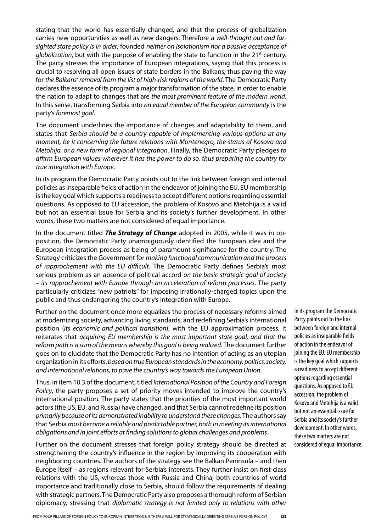stating that the world has essentially changed, and that the process of globalization carries new opportunities as well as new dangers. Therefore a *well-thought out and farsighted state policy is in order*, founded *neither on isolationism nor a passive acceptance of globalization*, but with the purpose of enabling the state to function in the 21<sup>st</sup> century. The party stresses the importance of European integrations, saying that this process is crucial to resolving all open issues of state borders in the Balkans, thus paving the way for *the Balkans' removal from the list of high-risk regions of the world*. The Democratic Party declares the essence of its program a major transformation of the state, in order to enable the nation to adapt to changes that are *the most prominent feature of the modern world*. In this sense, transforming Serbia into *an equal member of the European community* is the party's *foremost goal*.

The document underlines the importance of changes and adaptability to them, and states that *Serbia should be a country capable of implementing various options at any moment, be it concerning the future relations with Montenegro, the status of Kosovo and Metohija, or a new form of regional integration.* Finally, the Democratic Party pledges *to affirm European values wherever it has the power to do so, thus preparing the country for true integration with Europe*.

In its program the Democratic Party points out to the link between foreign and internal policies as inseparable fields of action in the endeavor of joining the EU. EU membership is the key goal which supports a readiness to accept different options regarding essential questions. As opposed to EU accession, the problem of Kosovo and Metohija is a valid but not an essential issue for Serbia and its society's further development. In other words, these two matters are not considered of equal importance.

In the document titled *The Strategy of Change* adopted in 2005, while it was in opposition, the Democratic Party unambiguously identified the European idea and the European integration process as being of paramount significance for the country. The Strategy criticizes the Government for *making functional communication and the process of rapprochement with the EU difficult*. The Democratic Party defines Serbia's most serious problem as an absence of political accord *on the basic strategic goal of society – its rapprochement with Europe through an acceleration of reform processes*. The party particularly criticizes "new patriots" for imposing irrationally-charged topics upon the public and thus endangering the country's integration with Europe.

Further on the document once more equalizes the process of necessary reforms aimed at modernizing society, advancing living standards, and redefining Serbia's international position (*its economic and political transition*), with the EU approximation process. It reiterates that *acquiring EU membership is the most important state goal, and that the reform path is a sum of the means whereby this goal is being realized*. The document further goes on to elucidate that the Democratic Party has no intention of acting as an utopian organization in its efforts, *based on true European standards in the economy, politics, society, and international relations, to pave the country's way towards the European Union*.

Thus, in item 10.3 of the document, titled *International Position of the Country and Foreign Policy*, the party proposes a set of priority moves intended to improve the country's international position. The party states that the priorities of the most important world actors (the US, EU, and Russia) have changed, and that Serbia cannot redefine its position *primarily because of its demonstrated inability to understand these changes*. The authors say that Serbia *must become a reliable and predictable partner, both in meeting its international obligations and in joint efforts at finding solutions to global challenges and problems*.

Further on the document stresses that foreign policy strategy should be directed at strengthening the country's influence in the region by improving its cooperation with neighboring countries. The authors of the strategy see the Balkan Peninsula – and then Europe itself – as regions relevant for Serbia's interests. They further insist on first-class relations with the US, whereas those with Russia and China, both countries of world importance and traditionally close to Serbia, should follow the requirements of dealing with strategic partners. The Democratic Party also proposes a thorough reform of Serbian diplomacy, stressing that *diplomatic strategy is not limited only to relations with other* 

In its program the Democratic Party points out to the link between foreign and internal policies as inseparable fields of action in the endeavor of joining the EU. EU membership is the key goal which supports a readiness to accept different options regarding essential questions. As opposed to EU accession, the problem of Kosovo and Metohija is a valid but not an essential issue for Serbia and its society's further development. In other words, these two matters are not considered of equal importance.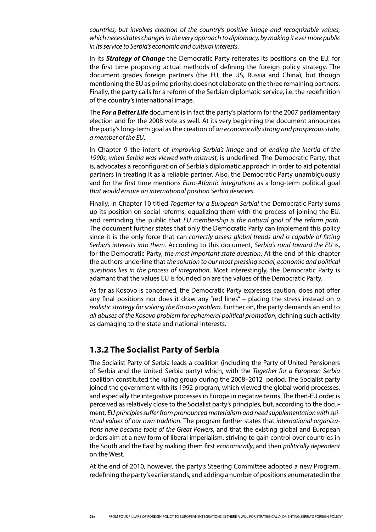*countries, but involves creation of the country's positive image and recognizable values, which necessitates changes in the very approach to diplomacy, by making it ever more public in its service to Serbia's economic and cultural interests*.

In its *Strategy of Change* the Democratic Party reiterates its positions on the EU, for the first time proposing actual methods of defining the foreign policy strategy. The document grades foreign partners (the EU, the US, Russia and China), but though mentioning the EU as prime priority, does not elaborate on the three remaining partners. Finally, the party calls for a reform of the Serbian diplomatic service, i.e. the redefinition of the country's international image.

The *For a Better Life* document is in fact the party's platform for the 2007 parliamentary election and for the 2008 vote as well. At its very beginning the document announces the party's long-term goal as the creation of *an economically strong and prosperous state, a member of the EU*.

In Chapter 9 the intent of *improving Serbia's image* and of *ending the inertia of the 1990s, when Serbia was viewed with mistrust,* is underlined. The Democratic Party, that is, advocates a reconfiguration of Serbia's diplomatic approach in order to aid potential partners in treating it as a reliable partner. Also, the Democratic Party unambiguously and for the first time mentions *Euro-Atlantic integrations* as a long-term political goal *that would ensure an international position Serbia deserves*.

Finally, in Chapter 10 titled *Together for a European Serbia!* the Democratic Party sums up its position on social reforms, equalizing them with the process of joining the EU, and reminding the public that *EU membership is the natural goal of the reform path*. The document further states that only the Democratic Party can implement this policy since it is the only force that can *correctly assess global trends and is capable of fitting Serbia's interests into them*. According to this document, *Serbia's road toward the EU* is, for the Democratic Party, *the most important state question*. At the end of this chapter the authors underline that *the solution to our most pressing social, economic and political questions lies in the process of integration*. Most interestingly, the Democratic Party is adamant that the values EU is founded on are the values of the Democratic Party.

As far as Kosovo is concerned, the Democratic Party expresses caution, does not offer any final positions nor does it draw any "red lines" – placing the stress instead on *a realistic strategy for solving the Kosovo problem*. Further on, the party demands an end to *all abuses of the Kosovo problem for ephemeral political promotion*, defining such activity as damaging to the state and national interests.

### **1.3.2 The Socialist Party of Serbia**

The Socialist Party of Serbia leads a coalition (including the Party of United Pensioners of Serbia and the United Serbia party) which, with the *Together for a European Serbia* coalition constituted the ruling group during the 2008–2012 period. The Socialist party joined the government with its 1992 program, which viewed the global world processes, and especially the integrative processes in Europe in negative terms. The then-EU order is perceived as relatively close to the Socialist party's principles, but, according to the document, *EU principles suffer from pronounced materialism and need supplementation with spiritual values of our own tradition*. The program further states that *international organizations have become tools of the Great Powers*, and that the existing global and European orders aim at a new form of liberal imperialism, striving to gain control over countries in the South and the East by making them first *economically*, and then *politically dependent* on the West.

At the end of 2010, however, the party's Steering Committee adopted a new Program, redefining the party's earlier stands, and adding a number of positions enumerated in the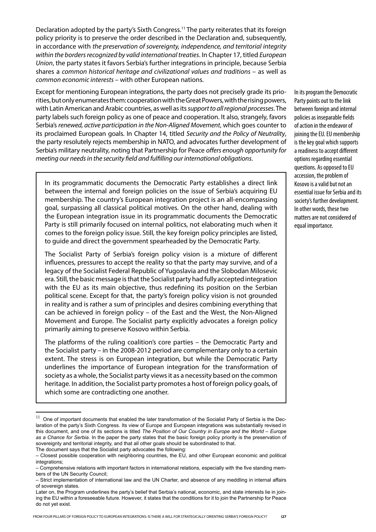Declaration adopted by the party's Sixth Congress.11 The party reiterates that its foreign policy priority is to preserve the order described in the Declaration and, subsequently, in accordance with *the preservation of sovereignty, independence, and territorial integrity within the borders recognized by valid international treaties*. In Chapter 17, titled *European Union*, the party states it favors Serbia's further integrations in principle, because Serbia shares a *common historical heritage and civilizational values and traditions –* as well as *common economic interests –* with other European nations.

Except for mentioning European integrations, the party does not precisely grade its priorities, but only enumerates them: cooperation with the Great Powers, with the rising powers, with Latin American and Arabic countries, as well as its *support to all regional processes*. The party labels such foreign policy as one of peace and cooperation. It also, strangely, favors Serbia's *renewed, active participation in the Non-Aligned Movement*, which goes counter to its proclaimed European goals. In Chapter 14, titled *Security and the Policy of Neutrality*, the party resolutely rejects membership in NATO, and advocates further development of Serbia's military neutrality, noting that Partnership for Peace *offers enough opportunity for meeting our needs in the security field and fulfilling our international obligations*.

In its programmatic documents the Democratic Party establishes a direct link between the internal and foreign policies on the issue of Serbia's acquiring EU membership. The country's European integration project is an all-encompassing goal, surpassing all classical political motives. On the other hand, dealing with the European integration issue in its programmatic documents the Democratic Party is still primarily focused on internal politics, not elaborating much when it comes to the foreign policy issue. Still, the key foreign policy principles are listed, to guide and direct the government spearheaded by the Democratic Party.

The Socialist Party of Serbia's foreign policy vision is a mixture of different influences, pressures to accept the reality so that the party may survive, and of a legacy of the Socialist Federal Republic of Yugoslavia and the Slobodan Milosevic era. Still, the basic message is that the Socialist party had fully accepted integration with the EU as its main objective, thus redefining its position on the Serbian political scene. Except for that, the party's foreign policy vision is not grounded in reality and is rather a sum of principles and desires combining everything that can be achieved in foreign policy – of the East and the West, the Non-Aligned Movement and Europe. The Socialist party explicitly advocates a foreign policy primarily aiming to preserve Kosovo within Serbia.

The platforms of the ruling coalition's core parties – the Democratic Party and the Socialist party – in the 2008-2012 period are complementary only to a certain extent. The stress is on European integration, but while the Democratic Party underlines the importance of European integration for the transformation of society as a whole, the Socialist party views it as a necessity based on the common heritage. In addition, the Socialist party promotes a host of foreign policy goals, of which some are contradicting one another.

In its program the Democratic Party points out to the link between foreign and internal policies as inseparable fields of action in the endeavor of joining the EU. EU membership is the key goal which supports a readiness to accept different options regarding essential questions. As opposed to EU accession, the problem of Kosovo is a valid but not an essential issue for Serbia and its society's further development. In other words, these two matters are not considered of equal importance.

 $11$  One of important documents that enabled the later transformation of the Socialist Party of Serbia is the Declaration of the party's Sixth Congress. Its view of Europe and European integrations was substantially revised in this document, and one of its sections is titled *The Position of Our Country in Europe and the World – Europe as a Chance for Serbia*. In the paper the party states that the basic foreign policy priority is the preservation of sovereignty and territorial integrity, and that all other goals should be subordinated to that.

The document says that the Socialist party advocates the following:

<sup>–</sup> Closest possible cooperation with neighboring countries, the EU, and other European economic and political integrations:

<sup>–</sup> Comprehensive relations with important factors in international relations, especially with the five standing members of the UN Security Council;

<sup>–</sup> Strict implementation of international law and the UN Charter, and absence of any meddling in internal affairs of sovereign states.

Later on, the Program underlines the party's belief that Serbia's national, economic, and state interests lie in joining the EU within a foreseeable future. However, it states that the conditions for it to join the Partnership for Peace do not yet exist.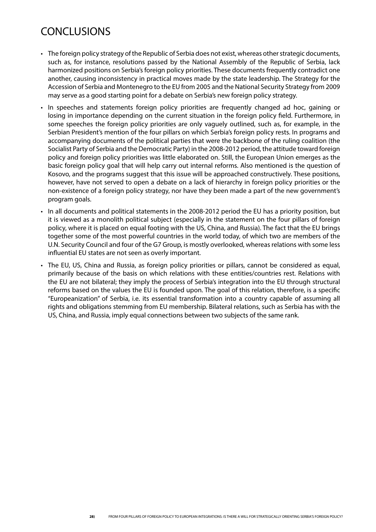## **CONCLUSIONS**

- The foreign policy strategy of the Republic of Serbia does not exist, whereas other strategic documents, such as, for instance, resolutions passed by the National Assembly of the Republic of Serbia, lack harmonized positions on Serbia's foreign policy priorities. These documents frequently contradict one another, causing inconsistency in practical moves made by the state leadership. The Strategy for the Accession of Serbia and Montenegro to the EU from 2005 and the National Security Strategy from 2009 may serve as a good starting point for a debate on Serbia's new foreign policy strategy.
- In speeches and statements foreign policy priorities are frequently changed ad hoc, gaining or losing in importance depending on the current situation in the foreign policy field. Furthermore, in some speeches the foreign policy priorities are only vaguely outlined, such as, for example, in the Serbian President's mention of the four pillars on which Serbia's foreign policy rests. In programs and accompanying documents of the political parties that were the backbone of the ruling coalition (the Socialist Party of Serbia and the Democratic Party) in the 2008-2012 period, the attitude toward foreign policy and foreign policy priorities was little elaborated on. Still, the European Union emerges as the basic foreign policy goal that will help carry out internal reforms. Also mentioned is the question of Kosovo, and the programs suggest that this issue will be approached constructively. These positions, however, have not served to open a debate on a lack of hierarchy in foreign policy priorities or the non-existence of a foreign policy strategy, nor have they been made a part of the new government's program goals.
- In all documents and political statements in the 2008-2012 period the EU has a priority position, but it is viewed as a monolith political subject (especially in the statement on the four pillars of foreign policy, where it is placed on equal footing with the US, China, and Russia). The fact that the EU brings together some of the most powerful countries in the world today, of which two are members of the U.N. Security Council and four of the G7 Group, is mostly overlooked, whereas relations with some less influential EU states are not seen as overly important.
- The EU, US, China and Russia, as foreign policy priorities or pillars, cannot be considered as equal, primarily because of the basis on which relations with these entities/countries rest. Relations with the EU are not bilateral; they imply the process of Serbia's integration into the EU through structural reforms based on the values the EU is founded upon. The goal of this relation, therefore, is a specific "Europeanization" of Serbia, i.e. its essential transformation into a country capable of assuming all rights and obligations stemming from EU membership. Bilateral relations, such as Serbia has with the US, China, and Russia, imply equal connections between two subjects of the same rank.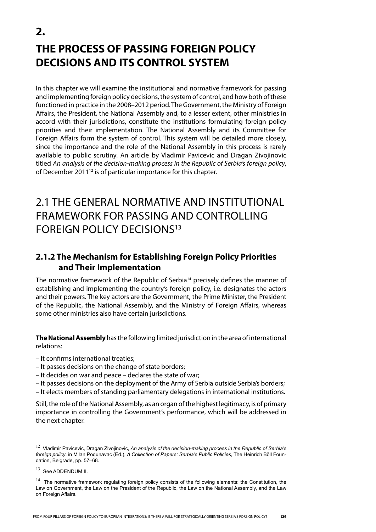# **THE PROCESS OF PASSING FOREIGN POLICY DECISIONS AND ITS CONTROL SYSTEM**

In this chapter we will examine the institutional and normative framework for passing and implementing foreign policy decisions, the system of control, and how both of these functioned in practice in the 2008–2012 period. The Government, the Ministry of Foreign Affairs, the President, the National Assembly and, to a lesser extent, other ministries in accord with their jurisdictions, constitute the institutions formulating foreign policy priorities and their implementation. The National Assembly and its Committee for Foreign Affairs form the system of control. This system will be detailed more closely, since the importance and the role of the National Assembly in this process is rarely available to public scrutiny. An article by Vladimir Pavicevic and Dragan Zivojinovic titled *An analysis of the decision-making process in the Republic of Serbia's foreign policy*, of December 2011<sup>12</sup> is of particular importance for this chapter.

## 2.1 The General Normative and Institutional Framework for Passing and Controlling FOREIGN POLICY DECISIONS<sup>13</sup>

## **2.1.2 The Mechanism for Establishing Foreign Policy Priorities and Their Implementation**

The normative framework of the Republic of Serbia<sup>14</sup> precisely defines the manner of establishing and implementing the country's foreign policy, i.e. designates the actors and their powers. The key actors are the Government, the Prime Minister, the President of the Republic, the National Assembly, and the Ministry of Foreign Affairs, whereas some other ministries also have certain jurisdictions.

**The National Assembly** has the following limited jurisdiction in the area of international relations:

– It confirms international treaties;

- It passes decisions on the change of state borders;
- It decides on war and peace declares the state of war;
- It passes decisions on the deployment of the Army of Serbia outside Serbia's borders;
- It elects members of standing parliamentary delegations in international institutions.

Still, the role of the National Assembly, as an organ of the highest legitimacy, is of primary importance in controlling the Government's performance, which will be addressed in the next chapter.

**2.**

<sup>12</sup> Vladimir Pavicevic, Dragan Zivojinovic, *An analysis of the decision-making process in the Republic of Serbia's foreign policy*, in Milan Podunavac (Ed.), *A Collection of Papers: Serbia's Public Policies*, The Heinrich Böll Foundation, Belgrade, pp. 57–68.

<sup>&</sup>lt;sup>13</sup> See ADDENDUM II.

 $14$  The normative framework regulating foreign policy consists of the following elements: the Constitution, the Law on Government, the Law on the President of the Republic, the Law on the National Assembly, and the Law on Foreign Affairs.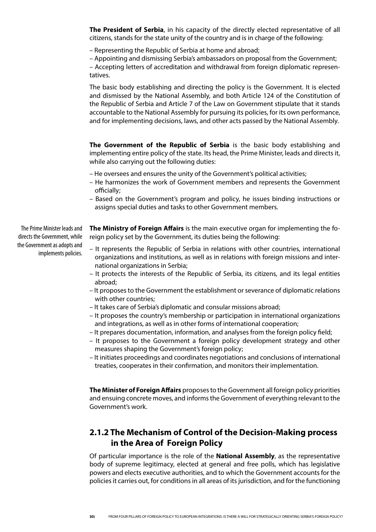**The President of Serbia**, in his capacity of the directly elected representative of all citizens, stands for the state unity of the country and is in charge of the following:

– Representing the Republic of Serbia at home and abroad;

– Appointing and dismissing Serbia's ambassadors on proposal from the Government; – Accepting letters of accreditation and withdrawal from foreign diplomatic representatives.

The basic body establishing and directing the policy is the Government. It is elected and dismissed by the National Assembly, and both Article 124 of the Constitution of the Republic of Serbia and Article 7 of the Law on Government stipulate that it stands accountable to the National Assembly for pursuing its policies, for its own performance, and for implementing decisions, laws, and other acts passed by the National Assembly.

**The Government of the Republic of Serbia** is the basic body establishing and implementing entire policy of the state. Its head, the Prime Minister, leads and directs it, while also carrying out the following duties:

– He oversees and ensures the unity of the Government's political activities;

- He harmonizes the work of Government members and represents the Government officially;
- Based on the Government's program and policy, he issues binding instructions or assigns special duties and tasks to other Government members.

**The Ministry of Foreign Affairs** is the main executive organ for implementing the foreign policy set by the Government, its duties being the following:

- It represents the Republic of Serbia in relations with other countries, international organizations and institutions, as well as in relations with foreign missions and international organizations in Serbia;
- It protects the interests of the Republic of Serbia, its citizens, and its legal entities abroad;
- It proposes to the Government the establishment or severance of diplomatic relations with other countries;
- It takes care of Serbia's diplomatic and consular missions abroad;
- It proposes the country's membership or participation in international organizations and integrations, as well as in other forms of international cooperation;
- It prepares documentation, information, and analyses from the foreign policy field;
- It proposes to the Government a foreign policy development strategy and other measures shaping the Government's foreign policy;
- It initiates proceedings and coordinates negotiations and conclusions of international treaties, cooperates in their confirmation, and monitors their implementation.

**The Minister of Foreign Affairs** proposes to the Government all foreign policy priorities and ensuing concrete moves, and informs the Government of everything relevant to the Government's work.

## **2.1.2 The Mechanism of Control of the Decision-Making process in the Area of Foreign Policy**

Of particular importance is the role of the **National Assembly**, as the representative body of supreme legitimacy, elected at general and free polls, which has legislative powers and elects executive authorities, and to which the Government accounts for the policies it carries out, for conditions in all areas of its jurisdiction, and for the functioning

The Prime Minister leads and directs the Government, while the Government as adopts and implements policies.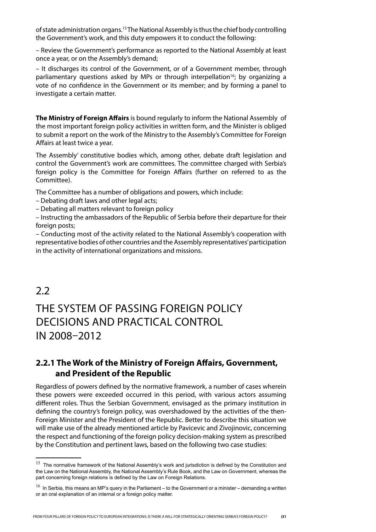of state administration organs.15 The National Assembly is thus the chief body controlling the Government's work, and this duty empowers it to conduct the following:

– Review the Government's performance as reported to the National Assembly at least once a year, or on the Assembly's demand;

– It discharges its control of the Government, or of a Government member, through parliamentary questions asked by MPs or through interpellation<sup>16</sup>; by organizing a vote of no confidence in the Government or its member; and by forming a panel to investigate a certain matter.

**The Ministry of Foreign Affairs** is bound regularly to inform the National Assembly of the most important foreign policy activities in written form, and the Minister is obliged to submit a report on the work of the Ministry to the Assembly's Committee for Foreign Affairs at least twice a year.

The Assembly' constitutive bodies which, among other, debate draft legislation and control the Government's work are committees. The committee charged with Serbia's foreign policy is the Committee for Foreign Affairs (further on referred to as the Committee).

The Committee has a number of obligations and powers, which include:

- Debating draft laws and other legal acts;
- Debating all matters relevant to foreign policy

– Instructing the ambassadors of the Republic of Serbia before their departure for their foreign posts;

– Conducting most of the activity related to the National Assembly's cooperation with representative bodies of other countries and the Assembly representatives' participation in the activity of international organizations and missions.

## $2.2$

## The System of Passing Foreign Policy Decisions and Practical Control in 2008–2012

### **2.2.1 The Work of the Ministry of Foreign Affairs, Government, and President of the Republic**

Regardless of powers defined by the normative framework, a number of cases wherein these powers were exceeded occurred in this period, with various actors assuming different roles. Thus the Serbian Government, envisaged as the primary institution in defining the country's foreign policy, was overshadowed by the activities of the then-Foreign Minister and the President of the Republic. Better to describe this situation we will make use of the already mentioned article by Pavicevic and Zivojinovic, concerning the respect and functioning of the foreign policy decision-making system as prescribed by the Constitution and pertinent laws, based on the following two case studies:

 $15$  The normative framework of the National Assembly's work and jurisdiction is defined by the Constitution and the Law on the National Assembly, the National Assembly's Rule Book, and the Law on Government, whereas the part concerning foreign relations is defined by the Law on Foreign Relations.

 $16$  In Serbia, this means an MP's query in the Parliament – to the Government or a minister – demanding a written or an oral explanation of an internal or a foreign policy matter.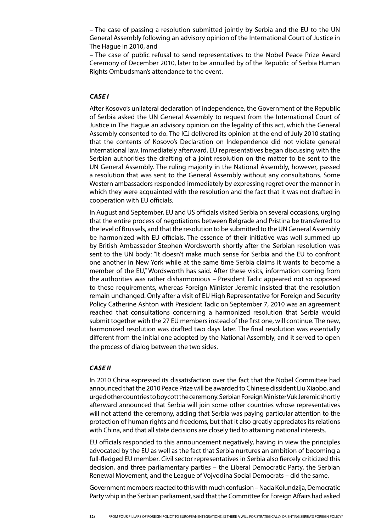– The case of passing a resolution submitted jointly by Serbia and the EU to the UN General Assembly following an advisory opinion of the International Court of Justice in The Hague in 2010, and

– The case of public refusal to send representatives to the Nobel Peace Prize Award Ceremony of December 2010, later to be annulled by of the Republic of Serbia Human Rights Ombudsman's attendance to the event.

### *CASE I*

After Kosovo's unilateral declaration of independence, the Government of the Republic of Serbia asked the UN General Assembly to request from the International Court of Justice in The Hague an advisory opinion on the legality of this act, which the General Assembly consented to do. The ICJ delivered its opinion at the end of July 2010 stating that the contents of Kosovo's Declaration on Independence did not violate general international law. Immediately afterward, EU representatives began discussing with the Serbian authorities the drafting of a joint resolution on the matter to be sent to the UN General Assembly. The ruling majority in the National Assembly, however, passed a resolution that was sent to the General Assembly without any consultations. Some Western ambassadors responded immediately by expressing regret over the manner in which they were acquainted with the resolution and the fact that it was not drafted in cooperation with EU officials.

In August and September, EU and US officials visited Serbia on several occasions, urging that the entire process of negotiations between Belgrade and Pristina be transferred to the level of Brussels, and that the resolution to be submitted to the UN General Assembly be harmonized with EU officials. The essence of their initiative was well summed up by British Ambassador Stephen Wordsworth shortly after the Serbian resolution was sent to the UN body: "It doesn't make much sense for Serbia and the EU to confront one another in New York while at the same time Serbia claims it wants to become a member of the EU," Wordsworth has said. After these visits, information coming from the authorities was rather disharmonious – President Tadic appeared not so opposed to these requirements, whereas Foreign Minister Jeremic insisted that the resolution remain unchanged. Only after a visit of EU High Representative for Foreign and Security Policy Catherine Ashton with President Tadic on September 7, 2010 was an agreement reached that consultations concerning a harmonized resolution that Serbia would submit together with the 27 EU members instead of the first one, will continue. The new, harmonized resolution was drafted two days later. The final resolution was essentially different from the initial one adopted by the National Assembly, and it served to open the process of dialog between the two sides.

#### *CASE II*

In 2010 China expressed its dissatisfaction over the fact that the Nobel Committee had announced that the 2010 Peace Prize will be awarded to Chinese dissident Liu Xiaobo, and urged other countries to boycott the ceremony. Serbian Foreign Minister Vuk Jeremic shortly afterward announced that Serbia will join some other countries whose representatives will not attend the ceremony, adding that Serbia was paying particular attention to the protection of human rights and freedoms, but that it also greatly appreciates its relations with China, and that all state decisions are closely tied to attaining national interests.

EU officials responded to this announcement negatively, having in view the principles advocated by the EU as well as the fact that Serbia nurtures an ambition of becoming a full-fledged EU member. Civil sector representatives in Serbia also fiercely criticized this decision, and three parliamentary parties – the Liberal Democratic Party, the Serbian Renewal Movement, and the League of Vojvodina Social Democrats – did the same.

Government members reacted to this with much confusion – Nada Kolundzija, Democratic Party whip in the Serbian parliament, said that the Committee for Foreign Affairs had asked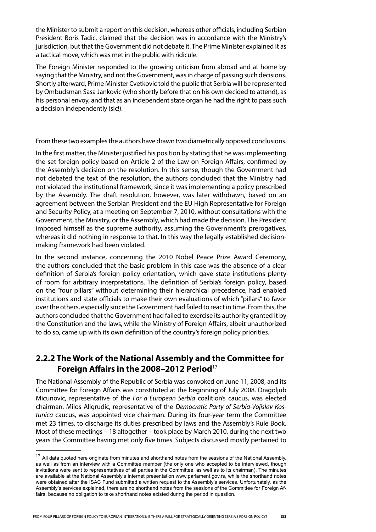the Minister to submit a report on this decision, whereas other officials, including Serbian President Boris Tadic, claimed that the decision was in accordance with the Ministry's jurisdiction, but that the Government did not debate it. The Prime Minister explained it as a tactical move, which was met in the public with ridicule.

The Foreign Minister responded to the growing criticism from abroad and at home by saying that the Ministry, and not the Government, was in charge of passing such decisions. Shortly afterward, Prime Minister Cvetkovic told the public that Serbia will be represented by Ombudsman Sasa Jankovic (who shortly before that on his own decided to attend), as his personal envoy, and that as an independent state organ he had the right to pass such a decision independently (sic!).

From these two examples the authors have drawn two diametrically opposed conclusions.

In the first matter, the Minister justified his position by stating that he was implementing the set foreign policy based on Article 2 of the Law on Foreign Affairs, confirmed by the Assembly's decision on the resolution. In this sense, though the Government had not debated the text of the resolution, the authors concluded that the Ministry had not violated the institutional framework, since it was implementing a policy prescribed by the Assembly. The draft resolution, however, was later withdrawn, based on an agreement between the Serbian President and the EU High Representative for Foreign and Security Policy, at a meeting on September 7, 2010, without consultations with the Government, the Ministry, or the Assembly, which had made the decision. The President imposed himself as the supreme authority, assuming the Government's prerogatives, whereas it did nothing in response to that. In this way the legally established decisionmaking framework had been violated.

In the second instance, concerning the 2010 Nobel Peace Prize Award Ceremony, the authors concluded that the basic problem in this case was the absence of a clear definition of Serbia's foreign policy orientation, which gave state institutions plenty of room for arbitrary interpretations. The definition of Serbia's foreign policy, based on the "four pillars" without determining their hierarchical precedence, had enabled institutions and state officials to make their own evaluations of which "pillars" to favor over the others, especially since the Government had failed to react in time. From this, the authors concluded that the Government had failed to exercise its authority granted it by the Constitution and the laws, while the Ministry of Foreign Affairs, albeit unauthorized to do so, came up with its own definition of the country's foreign policy priorities.

### **2.2.2 The Work of the National Assembly and the Committee for Foreign Affairs in the 2008–2012 Period**<sup>17</sup>

The National Assembly of the Republic of Serbia was convoked on June 11, 2008, and its Committee for Foreign Affairs was constituted at the beginning of July 2008. Dragoljub Micunovic, representative of the *For a European Serbia* coalition's caucus, was elected chairman. Milos Aligrudic, representative of the *Democratic Party of Serbia-Vojislav Kostunica* caucus, was appointed vice chairman. During its four-year term the Committee met 23 times, to discharge its duties prescribed by laws and the Assembly's Rule Book. Most of these meetings – 18 altogether – took place by March 2010, during the next two years the Committee having met only five times. Subjects discussed mostly pertained to

 $17$  All data quoted here originate from minutes and shorthand notes from the sessions of the National Assembly, as well as from an interview with a Committee member (the only one who accepted to be interviewed, though invitations were sent to representatives of all parties in the Committee, as well as to its chairman). The minutes are available at the National Assembly's internet presentation www.parlament.gov.rs, while the shorthand notes were obtained after the ISAC Fund submitted a written request to the Assembly's services. Unfortunately, as the Assembly's services explained, there are no shorthand notes from the sessions of the Committee for Foreign Affairs, because no obligation to take shorthand notes existed during the period in question.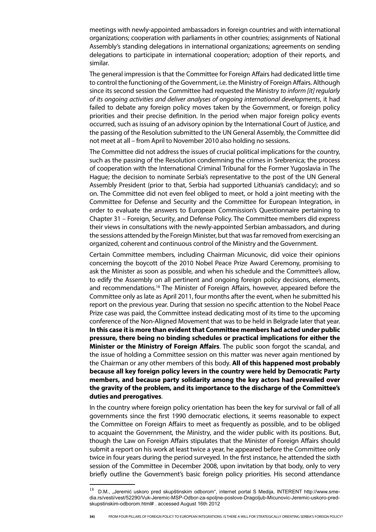meetings with newly-appointed ambassadors in foreign countries and with international organizations; cooperation with parliaments in other countries; assignments of National Assembly's standing delegations in international organizations; agreements on sending delegations to participate in international cooperation; adoption of their reports, and similar.

The general impression is that the Committee for Foreign Affairs had dedicated little time to control the functioning of the Government, i.e. the Ministry of Foreign Affairs. Although since its second session the Committee had requested the Ministry *to inform [it] regularly of its ongoing activities and deliver analyses of ongoing international developments*, it had failed to debate any foreign policy moves taken by the Government, or foreign policy priorities and their precise definition. In the period when major foreign policy events occurred, such as issuing of an advisory opinion by the International Court of Justice, and the passing of the Resolution submitted to the UN General Assembly, the Committee did not meet at all – from April to November 2010 also holding no sessions.

The Committee did not address the issues of crucial political implications for the country, such as the passing of the Resolution condemning the crimes in Srebrenica; the process of cooperation with the International Criminal Tribunal for the Former Yugoslavia in The Hague; the decision to nominate Serbia's representative to the post of the UN General Assembly President (prior to that, Serbia had supported Lithuania's candidacy); and so on. The Committee did not even feel obliged to meet, or hold a joint meeting with the Committee for Defense and Security and the Committee for European Integration, in order to evaluate the answers to European Commission's Questionnaire pertaining to Chapter 31 – Foreign, Security, and Defense Policy. The Committee members did express their views in consultations with the newly-appointed Serbian ambassadors, and during the sessions attended by the Foreign Minister, but that was far removed from exercising an organized, coherent and continuous control of the Ministry and the Government.

Certain Committee members, including Chairman Micunovic, did voice their opinions concerning the boycott of the 2010 Nobel Peace Prize Award Ceremony, promising to ask the Minister as soon as possible, and when his schedule and the Committee's allow, to edify the Assembly on all pertinent and ongoing foreign policy decisions, elements, and recommendations.18 The Minister of Foreign Affairs, however, appeared before the Committee only as late as April 2011, four months after the event, when he submitted his report on the previous year. During that session no specific attention to the Nobel Peace Prize case was paid, the Committee instead dedicating most of its time to the upcoming conference of the Non-Aligned Movement that was to be held in Belgrade later that year. **In this case it is more than evident that Committee members had acted under public pressure, there being no binding schedules or practical implications for either the Minister or the Ministry of Foreign Affairs**. The public soon forgot the scandal, and the issue of holding a Committee session on this matter was never again mentioned by the Chairman or any other members of this body. **All of this happened most probably because all key foreign policy levers in the country were held by Democratic Party members, and because party solidarity among the key actors had prevailed over the gravity of the problem, and its importance to the discharge of the Committee's duties and prerogatives**.

In the country where foreign policy orientation has been the key for survival or fall of all governments since the first 1990 democratic elections, it seems reasonable to expect the Committee on Foreign Affairs to meet as frequently as possible, and to be obliged to acquaint the Government, the Ministry, and the wider public with its positions. But, though the Law on Foreign Affairs stipulates that the Minister of Foreign Affairs should submit a report on his work at least twice a year, he appeared before the Committee only twice in four years during the period surveyed. In the first instance, he attended the sixth session of the Committee in December 2008, upon invitation by that body, only to very briefly outline the Government's basic foreign policy priorities. His second attendance

 $18$  D.M., "Jeremić uskoro pred skupštinskim odborom", internet portal S Medija, INTERENT http://www.smedia.rs/vesti/vest/52290/Vuk-Jeremic-MSP-Odbor-za-spoljne-poslove-Dragoljub-Micunovic-Jeremic-uskoro-predskupstinskim-odborom.html# . accessed August 16th 2012

**<sup>34)</sup>** FROM FOUR PILLARS OF FOREIGN POLICY TO EUROPEAN INTEGRATIONS: IS THERE A WILL FOR STRATEGICALLY ORIENTING SERBIA'S FOREIGN POLICY?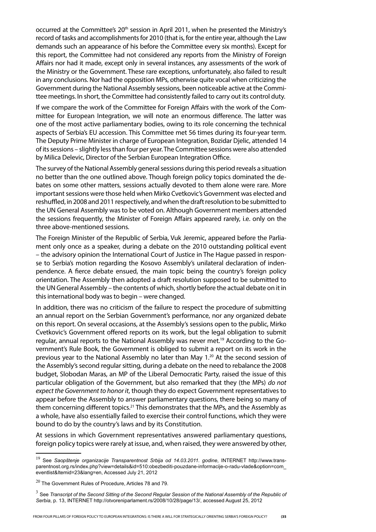occurred at the Committee's 20<sup>th</sup> session in April 2011, when he presented the Ministry's record of tasks and accomplishments for 2010 (that is, for the entire year, although the Law demands such an appearance of his before the Committee every six months). Except for this report, the Committee had not considered any reports from the Ministry of Foreign Affairs nor had it made, except only in several instances, any assessments of the work of the Ministry or the Government. These rare exceptions, unfortunately, also failed to result in any conclusions. Nor had the opposition MPs, otherwise quite vocal when criticizing the Government during the National Assembly sessions, been noticeable active at the Committee meetings. In short, the Committee had consistently failed to carry out its control duty.

If we compare the work of the Committee for Foreign Affairs with the work of the Committee for European Integration, we will note an enormous difference. The latter was one of the most active parliamentary bodies, owing to its role concerning the technical aspects of Serbia's EU accession. This Committee met 56 times during its four-year term. The Deputy Prime Minister in charge of European Integration, Bozidar Djelic, attended 14 of its sessions – slightly less than four per year. The Committee sessions were also attended by Milica Delevic, Director of the Serbian European Integration Office.

The survey of the National Assembly general sessions during this period reveals a situation no better than the one outlined above. Though foreign policy topics dominated the debates on some other matters, sessions actually devoted to them alone were rare. More important sessions were those held when Mirko Cvetkovic's Government was elected and reshuffled, in 2008 and 2011 respectively, and when the draft resolution to be submitted to the UN General Assembly was to be voted on. Although Government members attended the sessions frequently, the Minister of Foreign Affairs appeared rarely, i.e. only on the three above-mentioned sessions.

The Foreign Minister of the Republic of Serbia, Vuk Jeremic, appeared before the Parliament only once as a speaker, during a debate on the 2010 outstanding political event – the advisory opinion the International Court of Justice in The Hague passed in response to Serbia's motion regarding the Kosovo Assembly's unilateral declaration of indenpendence. A fierce debate ensued, the main topic being the country's foreign policy orientation. The Assembly then adopted a draft resolution supposed to be submitted to the UN General Assembly – the contents of which, shortly before the actual debate on it in this international body was to begin – were changed.

In addition, there was no criticism of the failure to respect the procedure of submitting an annual report on the Serbian Government's performance, nor any organized debate on this report. On several occasions, at the Assembly's sessions open to the public, Mirko Cvetkovic's Government offered reports on its work, but the legal obligation to submit regular, annual reports to the National Assembly was never met.<sup>19</sup> According to the Government's Rule Book, the Government is obliged to submit a report on its work in the previous year to the National Assembly no later than May 1.20 At the second session of the Assembly's second regular sitting, during a debate on the need to rebalance the 2008 budget, Slobodan Maras, an MP of the Liberal Democratic Party, raised the issue of this particular obligation of the Government, but also remarked that they (the MPs) *do not expect the Government to honor it*, though they do expect Government representatives to appear before the Assembly to answer parliamentary questions, there being so many of them concerning different topics.<sup>21</sup> This demonstrates that the MPs, and the Assembly as a whole, have also essentially failed to exercise their control functions, which they were bound to do by the country's laws and by its Constitution.

At sessions in which Government representatives answered parliamentary questions, foreign policy topics were rarely at issue, and, when raised, they were answered by other,

<sup>19</sup> See *Saopštenje organizacije Transparentnost Srbija od 14.03.2011. godine*, INTERNET http://www.transparentnost.org.rs/index.php?view=details&id=510:obezbediti-pouzdane-informacije-o-radu-vlade&option=com\_ eventlist&Itemid=23&lang=en, Accessed July 21, 2012

 $20$  The Government Rules of Procedure, Articles 78 and 79.

<sup>3</sup> See *Transcript of the Second Sitting of the Second Regular Session of the National Assembly of the Republic of Serbia*, p. 13, INTERNET http://otvoreniparlament.rs/2008/10/28/page/13/, accessed August 25, 2012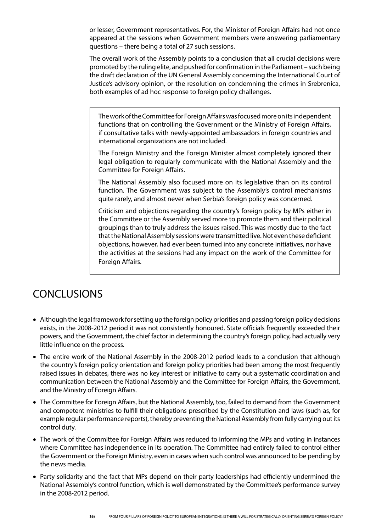or lesser, Government representatives. For, the Minister of Foreign Affairs had not once appeared at the sessions when Government members were answering parliamentary questions – there being a total of 27 such sessions.

The overall work of the Assembly points to a conclusion that all crucial decisions were promoted by the ruling elite, and pushed for confirmation in the Parliament – such being the draft declaration of the UN General Assembly concerning the International Court of Justice's advisory opinion, or the resolution on condemning the crimes in Srebrenica, both examples of ad hoc response to foreign policy challenges.

The work of the Committee for Foreign Affairs was focused more on its independent functions that on controlling the Government or the Ministry of Foreign Affairs, if consultative talks with newly-appointed ambassadors in foreign countries and international organizations are not included.

The Foreign Ministry and the Foreign Minister almost completely ignored their legal obligation to regularly communicate with the National Assembly and the Committee for Foreign Affairs.

The National Assembly also focused more on its legislative than on its control function. The Government was subject to the Assembly's control mechanisms quite rarely, and almost never when Serbia's foreign policy was concerned.

Criticism and objections regarding the country's foreign policy by MPs either in the Committee or the Assembly served more to promote them and their political groupings than to truly address the issues raised. This was mostly due to the fact that the National Assembly sessions were transmitted live. Not even these deficient objections, however, had ever been turned into any concrete initiatives, nor have the activities at the sessions had any impact on the work of the Committee for Foreign Affairs.

## CONCLUSIONS

- • Although the legal framework for setting up the foreign policy priorities and passing foreign policy decisions exists, in the 2008-2012 period it was not consistently honoured. State officials frequently exceeded their powers, and the Government, the chief factor in determining the country's foreign policy, had actually very little influence on the process.
- The entire work of the National Assembly in the 2008-2012 period leads to a conclusion that although the country's foreign policy orientation and foreign policy priorities had been among the most frequently raised issues in debates, there was no key interest or initiative to carry out a systematic coordination and communication between the National Assembly and the Committee for Foreign Affairs, the Government, and the Ministry of Foreign Affairs.
- The Committee for Foreign Affairs, but the National Assembly, too, failed to demand from the Government and competent ministries to fulfill their obligations prescribed by the Constitution and laws (such as, for example regular performance reports), thereby preventing the National Assembly from fully carrying out its control duty.
- The work of the Committee for Foreign Affairs was reduced to informing the MPs and voting in instances where Committee has independence in its operation. The Committee had entirely failed to control either the Government or the Foreign Ministry, even in cases when such control was announced to be pending by the news media.
- Party solidarity and the fact that MPs depend on their party leaderships had efficiently undermined the National Assembly's control function, which is well demonstrated by the Committee's performance survey in the 2008-2012 period.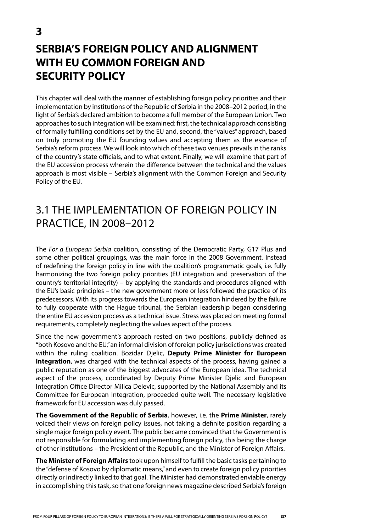# **SERBIA'S FOREIGN POLICY AND ALIGNMENT WITH EU COMMON FOREIGN AND SECURITY POLICY**

This chapter will deal with the manner of establishing foreign policy priorities and their implementation by institutions of the Republic of Serbia in the 2008–2012 period, in the light of Serbia's declared ambition to become a full member of the European Union. Two approaches to such integration will be examined: first, the technical approach consisting of formally fulfilling conditions set by the EU and, second, the "values" approach, based on truly promoting the EU founding values and accepting them as the essence of Serbia's reform process. We will look into which of these two venues prevails in the ranks of the country's state officials, and to what extent. Finally, we will examine that part of the EU accession process wherein the difference between the technical and the values approach is most visible – Serbia's alignment with the Common Foreign and Security Policy of the EU.

## 3.1 The Implementation of Foreign Policy in Practice, in 2008–2012

The *For a European Serbia* coalition, consisting of the Democratic Party, G17 Plus and some other political groupings, was the main force in the 2008 Government. Instead of redefining the foreign policy in line with the coalition's programmatic goals, i.e. fully harmonizing the two foreign policy priorities (EU integration and preservation of the country's territorial integrity) – by applying the standards and procedures aligned with the EU's basic principles – the new government more or less followed the practice of its predecessors. With its progress towards the European integration hindered by the failure to fully cooperate with the Hague tribunal, the Serbian leadership began considering the entire EU accession process as a technical issue. Stress was placed on meeting formal requirements, completely neglecting the values aspect of the process.

Since the new government's approach rested on two positions, publicly defined as "both Kosovo and the EU," an informal division of foreign policy jurisdictions was created within the ruling coalition. Bozidar Djelic, **Deputy Prime Minister for European Integration**, was charged with the technical aspects of the process, having gained a public reputation as one of the biggest advocates of the European idea. The technical aspect of the process, coordinated by Deputy Prime Minister Djelic and European Integration Office Director Milica Delevic, supported by the National Assembly and its Committee for European Integration, proceeded quite well. The necessary legislative framework for EU accession was duly passed.

**The Government of the Republic of Serbia**, however, i.e. the **Prime Minister**, rarely voiced their views on foreign policy issues, not taking a definite position regarding a single major foreign policy event. The public became convinced that the Government is not responsible for formulating and implementing foreign policy, this being the charge of other institutions – the President of the Republic, and the Minister of Foreign Affairs.

**The Minister of Foreign Affairs** took upon himself to fulfill the basic tasks pertaining to the "defense of Kosovo by diplomatic means," and even to create foreign policy priorities directly or indirectly linked to that goal. The Minister had demonstrated enviable energy in accomplishing this task, so that one foreign news magazine described Serbia's foreign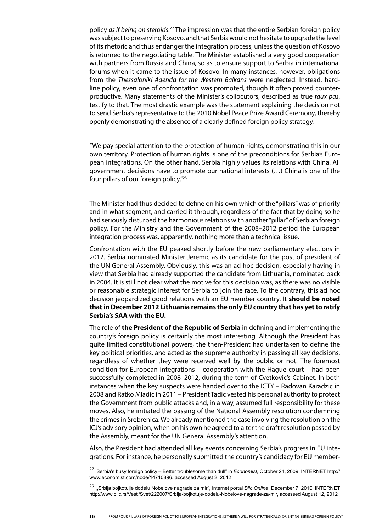policy *as if being on steroids*. 22 The impression was that the entire Serbian foreign policy was subject to preserving Kosovo, and that Serbia would not hesitate to upgrade the level of its rhetoric and thus endanger the integration process, unless the question of Kosovo is returned to the negotiating table. The Minister established a very good cooperation with partners from Russia and China, so as to ensure support to Serbia in international forums when it came to the issue of Kosovo. In many instances, however, obligations from the *Thessaloniki Agenda for the Western Balkans* were neglected. Instead, hardline policy, even one of confrontation was promoted, though it often proved counterproductive. Many statements of the Minister's collocutors, described as true *faux pas*, testify to that. The most drastic example was the statement explaining the decision not to send Serbia's representative to the 2010 Nobel Peace Prize Award Ceremony, thereby openly demonstrating the absence of a clearly defined foreign policy strategy:

"We pay special attention to the protection of human rights, demonstrating this in our own territory. Protection of human rights is one of the preconditions for Serbia's European integrations. On the other hand, Serbia highly values its relations with China. All government decisions have to promote our national interests (…) China is one of the four pillars of our foreign policy."23

The Minister had thus decided to define on his own which of the "pillars" was of priority and in what segment, and carried it through, regardless of the fact that by doing so he had seriously disturbed the harmonious relations with another "pillar" of Serbian foreign policy. For the Ministry and the Government of the 2008–2012 period the European integration process was, apparently, nothing more than a technical issue.

Confrontation with the EU peaked shortly before the new parliamentary elections in 2012. Serbia nominated Minister Jeremic as its candidate for the post of president of the UN General Assembly. Obviously, this was an ad hoc decision, especially having in view that Serbia had already supported the candidate from Lithuania, nominated back in 2004. It is still not clear what the motive for this decision was, as there was no visible or reasonable strategic interest for Serbia to join the race. To the contrary, this ad hoc decision jeopardized good relations with an EU member country. It **should be noted that in December 2012 Lithuania remains the only EU country that has yet to ratify Serbia's SAA with the EU.**

The role of **the President of the Republic of Serbia** in defining and implementing the country's foreign policy is certainly the most interesting. Although the President has quite limited constitutional powers, the then-President had undertaken to define the key political priorities, and acted as the supreme authority in passing all key decisions, regardless of whether they were received well by the public or not. The foremost condition for European integrations – cooperation with the Hague court – had been successfully completed in 2008–2012, during the term of Cvetkovic's Cabinet. In both instances when the key suspects were handed over to the ICTY – Radovan Karadzic in 2008 and Ratko Mladic in 2011 – President Tadic vested his personal authority to protect the Government from public attacks and, in a way, assumed full responsibility for these moves. Also, he initiated the passing of the National Assembly resolution condemning the crimes in Srebrenica. We already mentioned the case involving the resolution on the ICJ's advisory opinion, when on his own he agreed to alter the draft resolution passed by the Assembly, meant for the UN General Assembly's attention.

Also, the President had attended all key events concerning Serbia's progress in EU integrations. For instance, he personally submitted the country's candidacy for EU member-

<sup>22</sup> Serbia's busy foreign policy – Better troublesome than dull" in *Economist*, October 24, 2009, INTERNET http:// www.economist.com/node/14710896, accessed August 2, 2012

<sup>23</sup> "Srbija bojkotuije dodelu Nobelove nagrade za mir", Internet portal *Blic Online*, December 7, 2010 INTERNET http://www.blic.rs/Vesti/Svet/222007/Srbija-bojkotuje-dodelu-Nobelove-nagrade-za-mir, accessed August 12, 2012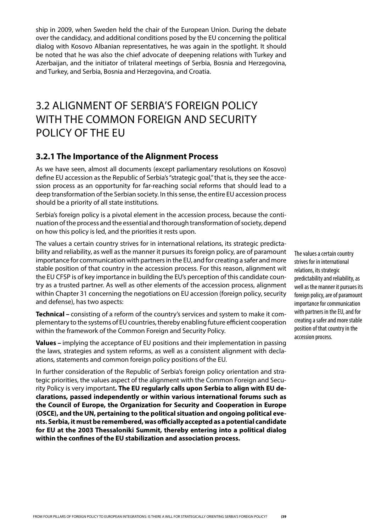ship in 2009, when Sweden held the chair of the European Union. During the debate over the candidacy, and additional conditions posed by the EU concerning the political dialog with Kosovo Albanian representatives, he was again in the spotlight. It should be noted that he was also the chief advocate of deepening relations with Turkey and Azerbaijan, and the initiator of trilateral meetings of Serbia, Bosnia and Herzegovina, and Turkey, and Serbia, Bosnia and Herzegovina, and Croatia.

## 3.2 Alignment of Serbia's Foreign Policy with the Common Foreign and Security Policy of the EU

### **3.2.1 The Importance of the Alignment Process**

As we have seen, almost all documents (except parliamentary resolutions on Kosovo) define EU accession as the Republic of Serbia's "strategic goal," that is, they see the accession process as an opportunity for far-reaching social reforms that should lead to a deep transformation of the Serbian society. In this sense, the entire EU accession process should be a priority of all state institutions.

Serbia's foreign policy is a pivotal element in the accession process, because the continuation of the process and the essential and thorough transformation of society, depend on how this policy is led, and the priorities it rests upon.

The values a certain country strives for in international relations, its strategic predictability and reliability, as well as the manner it pursues its foreign policy, are of paramount importance for communication with partners in the EU, and for creating a safer and more stable position of that country in the accession process. For this reason, alignment wit the EU CFSP is of key importance in building the EU's perception of this candidate country as a trusted partner. As well as other elements of the accession process, alignment within Chapter 31 concerning the negotiations on EU accession (foreign policy, security and defense), has two aspects:

**Technical** *–* consisting of a reform of the country's services and system to make it complementary to the systems of EU countries, thereby enabling future efficient cooperation within the framework of the Common Foreign and Security Policy.

**Values** *–* implying the acceptance of EU positions and their implementation in passing the laws, strategies and system reforms, as well as a consistent alignment with declaations, statements and common foreign policy positions of the EU.

In further consideration of the Republic of Serbia's foreign policy orientation and strategic priorities, the values aspect of the alignment with the Common Foreign and Security Policy is very important*.* **The EU regularly calls upon Serbia to align with EU declarations, passed independently or within various international forums such as the Council of Europe, the Organization for Security and Cooperation in Europe (OSCE), and the UN, pertaining to the political situation and ongoing political events. Serbia, it must be remembered, was officially accepted as a potential candidate for EU at the 2003 Thessaloniki Summit, thereby entering into a political dialog within the confines of the EU stabilization and association process.**

The values a certain country strives for in international relations, its strategic predictability and reliability, as well as the manner it pursues its foreign policy, are of paramount importance for communication with partners in the EU, and for creating a safer and more stable position of that country in the accession process.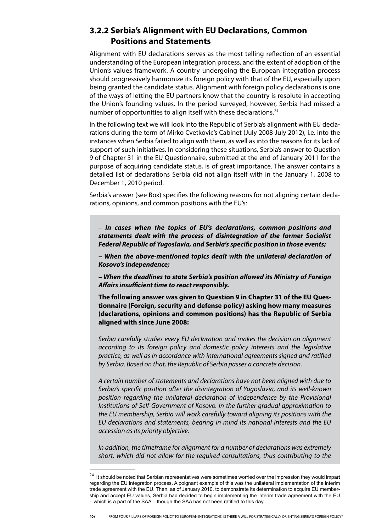### **3.2.2 Serbia's Alignment with EU Declarations, Common Positions and Statements**

Alignment with EU declarations serves as the most telling reflection of an essential understanding of the European integration process, and the extent of adoption of the Union's values framework. A country undergoing the European integration process should progressively harmonize its foreign policy with that of the EU, especially upon being granted the candidate status. Alignment with foreign policy declarations is one of the ways of letting the EU partners know that the country is resolute in accepting the Union's founding values. In the period surveyed, however, Serbia had missed a number of opportunities to align itself with these declarations.<sup>24</sup>

In the following text we will look into the Republic of Serbia's alignment with EU declarations during the term of Mirko Cvetkovic's Cabinet (July 2008-July 2012), i.e. into the instances when Serbia failed to align with them, as well as into the reasons for its lack of support of such initiatives. In considering these situations, Serbia's answer to Question 9 of Chapter 31 in the EU Questionnaire, submitted at the end of January 2011 for the purpose of acquiring candidate status, is of great importance. The answer contains a detailed list of declarations Serbia did not align itself with in the January 1, 2008 to December 1, 2010 period.

Serbia's answer (see Box) specifies the following reasons for not aligning certain declarations, opinions, and common positions with the EU's:

*– In cases when the topics of EU's declarations,* **common** *positions* **and statements** *dealt with the process of disintegration of the former Socialist Federal Republic of Yugoslavia, and Serbia's specific position in those events;*

*– When the above-mentioned topics dealt with the unilateral declaration of Kosovo's independence;*

*– When the deadlines to state Serbia's position allowed its Ministry of Foreign Affairs insufficient time to react responsibly.*

**The following answer was given to Question 9 in Chapter 31 of the EU Questionnaire (Foreign, security and defense policy) asking how many measures (declarations, opinions and common positions) has the Republic of Serbia aligned with since June 2008:**

*Serbia carefully studies every EU declaration and makes the decision on alignment according to its foreign policy and domestic policy interests and the legislative practice, as well as in accordance with international agreements signed and ratified by Serbia. Based on that, the Republic of Serbia passes a concrete decision.*

*A certain number of statements and declarations have not been aligned with due to Serbia's specific position after the disintegration of Yugoslavia, and its well-known position regarding the unilateral declaration of independence by the Provisional Institutions of SelfGovernment of Kosovo. In the further gradual approximation to the EU membership, Serbia will work carefully toward aligning its positions with the EU declarations and statements, bearing in mind its national interests and the EU accession as its priority objective.*

*In addition, the timeframe for alignment for a number of declarations was extremely short, which did not allow for the required consultations, thus contributing to the* 

 $^{24}$  It should be noted that Serbian representatives were sometimes worried over the impression they would impart regarding the EU integration process. A poignant example of this was the unilateral implementation of the interim trade agreement with the EU. Then, as of January 2010, to demonstrate its determination to acquire EU membership and accept EU values, Serbia had decided to begin implementing the interim trade agreement with the EU – which is a part of the SAA – though the SAA has not been ratified to this day.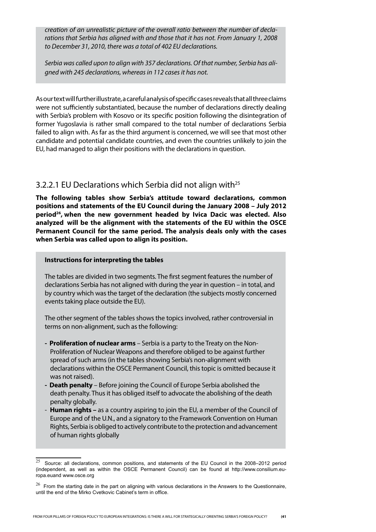*creation of an unrealistic picture of the overall ratio between the number of de clarations that Serbia has aligned with and those that it has not. From January 1, 2008 to December 31, 2010, there was a total of 402 EU declarations.* 

*Serbia was called upon to align with 357 declarations. Of that number, Serbia has aligned with 245 declarations, whereas in 112 cases it has not.*

As our text will further illustrate, a careful analysis of specific cases reveals that all three claims were not sufficiently substantiated, because the number of declarations directly dealing with Serbia's problem with Kosovo or its specific position following the disintegration of former Yugoslavia is rather small compared to the total number of declarations Serbia failed to align with. As far as the third argument is concerned, we will see that most other candidate and potential candidate countries, and even the countries unlikely to join the EU, had managed to align their positions with the declarations in question.

### 3.2.2.1 EU Declarations which Serbia did not align with<sup>25</sup>

**The following tables show Serbia's attitude toward declarations, common positions and statements of the EU Council during the January 2008 – July 2012 period26, when the new government headed by Ivica Dacic was elected. Also analyzed will be the alignment with the statements of the EU within the OSCE Permanent Council for the same period. The analysis deals only with the cases when Serbia was called upon to align its position.**

#### **Instructions for interpreting the tables**

The tables are divided in two segments. The first segment features the number of declarations Serbia has not aligned with during the year in question – in total, and by country which was the target of the declaration (the subjects mostly concerned events taking place outside the EU).

The other segment of the tables shows the topics involved, rather controversial in terms on non-alignment, such as the following:

- **Proliferation of nuclear arms** Serbia is a party to the Treaty on the Non-Proliferation of Nuclear Weapons and therefore obliged to be against further spread of such arms (in the tables showing Serbia's non-alignment with declarations within the OSCE Permanent Council, this topic is omitted because it was not raised).
- **Death penalty** Before joining the Council of Europe Serbia abolished the death penalty. Thus it has obliged itself to advocate the abolishing of the death penalty globally.
- Human rights as a country aspiring to join the EU, a member of the Council of Europe and of the U.N., and a signatory to the Framework Convention on Human Rights, Serbia is obliged to actively contribute to the protection and advancement of human rights globally

<sup>25</sup> Source: all declarations, common positions, and statements of the EU Council in the 2008–2012 period (independent, as well as within the OSCE Permanent Council) can be found at http://www.consilium.europa.euand www.osce.org

 $26$  From the starting date in the part on aligning with various declarations in the Answers to the Questionnaire, until the end of the Mirko Cvetkovic Cabinet's term in office.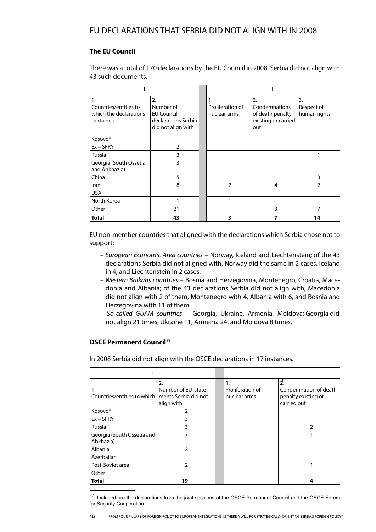### **The EU Council**

There was a total of 170 declarations by the EU Council in 2008. Serbia did not align with 43 such documents.

|                                                                    |                                                                                   | Ш                                      |                                                                       |                                  |  |  |
|--------------------------------------------------------------------|-----------------------------------------------------------------------------------|----------------------------------------|-----------------------------------------------------------------------|----------------------------------|--|--|
| 1.<br>Countries/entities to<br>which the declarations<br>pertained | 2.<br>Number of<br><b>EU Council</b><br>declarations Serbia<br>did not align with | 1.<br>Proliferation of<br>nuclear arms | 2.<br>Condemnations<br>of death penalty<br>existing or carried<br>out | 3.<br>Respect of<br>human rights |  |  |
| Kosovo*                                                            |                                                                                   |                                        |                                                                       |                                  |  |  |
| $Ex - SFRY$                                                        | $\overline{2}$                                                                    |                                        |                                                                       |                                  |  |  |
| Russia                                                             | 3                                                                                 |                                        |                                                                       |                                  |  |  |
| Georgia (South Ossetia<br>and Abkhazia)                            | 3                                                                                 |                                        |                                                                       |                                  |  |  |
| China                                                              | 5                                                                                 |                                        |                                                                       | 3                                |  |  |
| Iran                                                               | 8                                                                                 | $\mathfrak{D}$                         | 4                                                                     | $\mathfrak{p}$                   |  |  |
| <b>USA</b>                                                         |                                                                                   |                                        |                                                                       |                                  |  |  |
| North Korea                                                        |                                                                                   |                                        |                                                                       |                                  |  |  |
| Other                                                              | 21                                                                                |                                        | 3                                                                     | 7                                |  |  |
| Total                                                              | 43                                                                                | 3                                      | 7                                                                     | 14                               |  |  |

EU non-member countries that aligned with the declarations which Serbia chose not to support:

- *European Economic Area countries* Norway, Iceland and Liechtenstein; of the 43 declarations Serbia did not aligned with, Norway did the same in 2 cases, Iceland in 4, and Liechtenstein in 2 cases.
- *Western Balkans countries* Bosnia and Herzegovina, Montenegro, Croatia, Macedonia and Albania; of the 43 declarations Serbia did not align with, Macedonia did not align with 2 of them, Montenegro with 4, Albania with 6, and Bosnia and Herzegovina with 11 of them.
- *Socalled GUAM countries* Georgia, Ukraine, Armenia, Moldova; Georgia did not align 21 times, Ukraine 11, Armenia 24, and Moldova 8 times.

### **OSCE Permanent Council<sup>27</sup>**

In 2008 Serbia did not align with the OSCE declarations in 17 instances.

| 1.<br>Countries/entities to which       | 2.<br>Number of EU state-<br>ments Serbia did not<br>align with | 1.<br>Proliferation of<br>nuclear arms | Ÿ.<br>Condemnation of death<br>penalty existing or<br>carried out |
|-----------------------------------------|-----------------------------------------------------------------|----------------------------------------|-------------------------------------------------------------------|
| Kosovo*                                 |                                                                 |                                        |                                                                   |
| $Ex - SFRY$                             | 3                                                               |                                        |                                                                   |
| Russia                                  | 3                                                               |                                        | $\mathcal{P}$                                                     |
| Georgia (South Ossetia and<br>Abkhazia) |                                                                 |                                        |                                                                   |
| Albania                                 | 2                                                               |                                        |                                                                   |
| Azerbaijan                              |                                                                 |                                        |                                                                   |
| Post-Soviet area                        | 2                                                               |                                        |                                                                   |
| Other                                   |                                                                 |                                        |                                                                   |
| <b>Total</b>                            | 19                                                              |                                        | 4                                                                 |

 $^{27}$  Included are the declarations from the joint sessions of the OSCE Permanent Council and the OSCE Forum for Security Cooperation.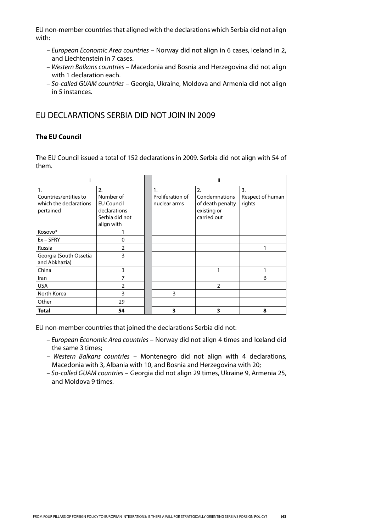EU non-member countries that aligned with the declarations which Serbia did not align with:

- *European Economic Area countries* Norway did not align in 6 cases, Iceland in 2, and Liechtenstein in 7 cases.
- *Western Balkans countries* Macedonia and Bosnia and Herzegovina did not align with 1 declaration each.
- *Socalled GUAM countries* Georgia, Ukraine, Moldova and Armenia did not align in 5 instances.

### EU DECLARATIONS SERBIA DID NOT JOIN IN 2009

### **The EU Council**

The EU Council issued a total of 152 declarations in 2009. Serbia did not align with 54 of them.

|                                                                    |                                                                                                    | Ш                                      |                                                                       |                                                |  |
|--------------------------------------------------------------------|----------------------------------------------------------------------------------------------------|----------------------------------------|-----------------------------------------------------------------------|------------------------------------------------|--|
| 1.<br>Countries/entities to<br>which the declarations<br>pertained | $\overline{2}$ .<br>Number of<br><b>EU Council</b><br>declarations<br>Serbia did not<br>align with | 1.<br>Proliferation of<br>nuclear arms | 2.<br>Condemnations<br>of death penalty<br>existing or<br>carried out | $\overline{3}$ .<br>Respect of human<br>rights |  |
| Kosovo*                                                            |                                                                                                    |                                        |                                                                       |                                                |  |
| $Ex - SFRY$                                                        | 0                                                                                                  |                                        |                                                                       |                                                |  |
| Russia                                                             | $\overline{2}$                                                                                     |                                        |                                                                       |                                                |  |
| Georgia (South Ossetia<br>and Abkhazia)                            | 3                                                                                                  |                                        |                                                                       |                                                |  |
| China                                                              | 3                                                                                                  |                                        |                                                                       |                                                |  |
| Iran                                                               | 7                                                                                                  |                                        |                                                                       | 6                                              |  |
| <b>USA</b>                                                         | $\overline{2}$                                                                                     |                                        | $\overline{2}$                                                        |                                                |  |
| North Korea                                                        | 3                                                                                                  | 3                                      |                                                                       |                                                |  |
| Other                                                              | 29                                                                                                 |                                        |                                                                       |                                                |  |
| <b>Total</b>                                                       | 54                                                                                                 | 3                                      | 3                                                                     | 8                                              |  |

EU non-member countries that joined the declarations Serbia did not:

- *European Economic Area countries* Norway did not align 4 times and Iceland did the same 3 times;
- *Western Balkans countries* Montenegro did not align with 4 declarations, Macedonia with 3, Albania with 10, and Bosnia and Herzegovina with 20;
- *Socalled GUAM countries* Georgia did not align 29 times, Ukraine 9, Armenia 25, and Moldova 9 times.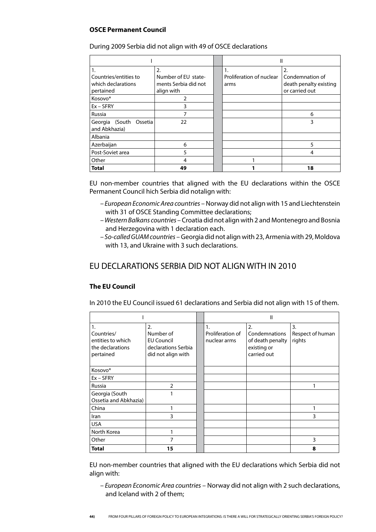### **OSCE Permanent Council**

|                                         |                      |                          | Ш                      |
|-----------------------------------------|----------------------|--------------------------|------------------------|
| 1.                                      | 2.                   | 1.                       | 2.                     |
| Countries/entities to                   | Number of EU state-  | Proliferation of nuclear | Condemnation of        |
| which declarations                      | ments Serbia did not | arms                     | death penalty existing |
| pertained                               | align with           |                          | or carried out         |
| Kosovo*                                 | 2                    |                          |                        |
| $Ex - SFRY$                             | 3                    |                          |                        |
| Russia                                  | 7                    |                          | 6                      |
| Georgia (South Ossetia<br>and Abkhazia) | 22                   |                          | 3                      |
| Albania                                 |                      |                          |                        |
| Azerbaijan                              | 6                    |                          | 5                      |
| Post-Soviet area                        | 5                    |                          | 4                      |
| Other                                   | 4                    |                          |                        |
| Total                                   | 49                   |                          | 18                     |

During 2009 Serbia did not align with 49 of OSCE declarations

EU non-member countries that aligned with the EU declarations within the OSCE Permanent Council hich Serbia did notalign with:

- *European Economic Area countries* Norway did not align with 15 and Liechtenstein with 31 of OSCE Standing Committee declarations;
- *Western Balkans countries*  Croatia did not align with 2 and Montenegro and Bosnia and Herzegovina with 1 declaration each.
- *So*-*called GUAM countries* Georgia did not align with 23, Armenia with 29, Moldova with 13, and Ukraine with 3 such declarations.

### EU DECLARATIONS SERBIA DID NOT ALIGN WITH IN 2010

 $\mathbf{r}$ 

### **The EU Council**

 $\overline{r}$ 

In 2010 the EU Council issued 61 declarations and Serbia did not align with 15 of them.

|                                                                        |                                                                                   | Ш                                      |                                                                       |                                  |  |  |  |
|------------------------------------------------------------------------|-----------------------------------------------------------------------------------|----------------------------------------|-----------------------------------------------------------------------|----------------------------------|--|--|--|
| 1.<br>Countries/<br>entities to which<br>the declarations<br>pertained | 2.<br>Number of<br><b>EU Council</b><br>declarations Serbia<br>did not align with | 1.<br>Proliferation of<br>nuclear arms | 2.<br>Condemnations<br>of death penalty<br>existing or<br>carried out | 3.<br>Respect of human<br>rights |  |  |  |
| Kosovo*                                                                |                                                                                   |                                        |                                                                       |                                  |  |  |  |
| $Ex - SFRY$                                                            |                                                                                   |                                        |                                                                       |                                  |  |  |  |
| Russia                                                                 | $\overline{2}$                                                                    |                                        |                                                                       |                                  |  |  |  |
| Georgia (South<br>Ossetia and Abkhazia)                                | 1                                                                                 |                                        |                                                                       |                                  |  |  |  |
| China                                                                  | 1                                                                                 |                                        |                                                                       |                                  |  |  |  |
| Iran                                                                   | 3                                                                                 |                                        |                                                                       | 3                                |  |  |  |
| <b>USA</b>                                                             |                                                                                   |                                        |                                                                       |                                  |  |  |  |
| North Korea                                                            | 1                                                                                 |                                        |                                                                       |                                  |  |  |  |
| Other                                                                  | 7                                                                                 |                                        |                                                                       | 3                                |  |  |  |
| <b>Total</b>                                                           | 15                                                                                |                                        |                                                                       | 8                                |  |  |  |

EU non-member countries that aligned with the EU declarations which Serbia did not align with:

*– European Economic Area countries* – Norway did not align with 2 such declarations, and Iceland with 2 of them;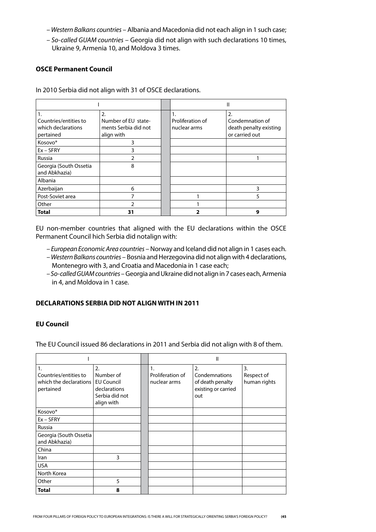- *Western Balkans countries* Albania and Macedonia did not each align in 1 such case;
- *Socalled GUAM countries* Georgia did not align with such declarations 10 times, Ukraine 9, Armenia 10, and Moldova 3 times.

#### **OSCE Permanent Council**

In 2010 Serbia did not align with 31 of OSCE declarations.

|                        |                      |                  | Ш                      |
|------------------------|----------------------|------------------|------------------------|
| 1.                     | 2.                   | 1.               | 2.                     |
| Countries/entities to  | Number of EU state-  | Proliferation of | Condemnation of        |
| which declarations     | ments Serbia did not | nuclear arms     | death penalty existing |
| pertained              | align with           |                  | or carried out         |
| Kosovo*                | 3                    |                  |                        |
| $Ex - SFRY$            | 3                    |                  |                        |
| Russia                 |                      |                  |                        |
| Georgia (South Ossetia | 8                    |                  |                        |
| and Abkhazia)          |                      |                  |                        |
| Albania                |                      |                  |                        |
| Azerbaijan             | 6                    |                  | ς                      |
| Post-Soviet area       |                      |                  |                        |
| Other                  |                      |                  |                        |
| <b>Total</b>           | 31                   |                  | g                      |

EU non-member countries that aligned with the EU declarations within the OSCE Permanent Council hich Serbia did notalign with:

- *European Economic Area countries* Norway and Iceland did not align in 1 cases each.
- *Western Balkans countries* Bosnia and Herzegovina did not align with 4 declarations, Montenegro with 3, and Croatia and Macedonia in 1 case each;
- *Socalled GUAM countries* Georgia and Ukraine did not align in 7 cases each, Armenia in 4, and Moldova in 1 case.

#### **DECLARATIONS SERBIA DID NOT ALIGN WITH IN 2011**

### **EU Council**

The EU Council issued 86 declarations in 2011 and Serbia did not align with 8 of them.

|                                                                      |                                                                                      | Ш |                                        |                                                                       |                                                |  |
|----------------------------------------------------------------------|--------------------------------------------------------------------------------------|---|----------------------------------------|-----------------------------------------------------------------------|------------------------------------------------|--|
| 1.<br>Countries/entities to<br>which the declarations I<br>pertained | 2.<br>Number of<br><b>EU Council</b><br>declarations<br>Serbia did not<br>align with |   | 1.<br>Proliferation of<br>nuclear arms | 2.<br>Condemnations<br>of death penalty<br>existing or carried<br>out | $\overline{3}$ .<br>Respect of<br>human rights |  |
| Kosovo*                                                              |                                                                                      |   |                                        |                                                                       |                                                |  |
| $Ex - SFRY$                                                          |                                                                                      |   |                                        |                                                                       |                                                |  |
| Russia                                                               |                                                                                      |   |                                        |                                                                       |                                                |  |
| Georgia (South Ossetia<br>and Abkhazia)                              |                                                                                      |   |                                        |                                                                       |                                                |  |
| China                                                                |                                                                                      |   |                                        |                                                                       |                                                |  |
| Iran                                                                 | 3                                                                                    |   |                                        |                                                                       |                                                |  |
| <b>USA</b>                                                           |                                                                                      |   |                                        |                                                                       |                                                |  |
| North Korea                                                          |                                                                                      |   |                                        |                                                                       |                                                |  |
| Other                                                                | 5                                                                                    |   |                                        |                                                                       |                                                |  |
| <b>Total</b>                                                         | 8                                                                                    |   |                                        |                                                                       |                                                |  |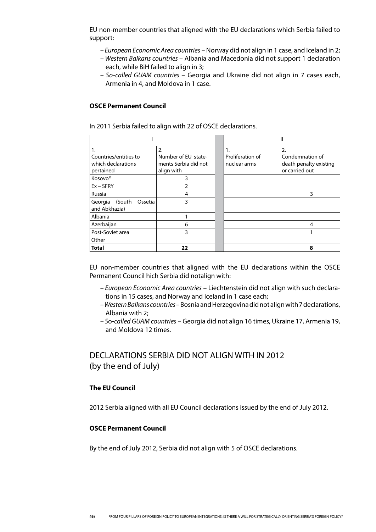EU non-member countries that aligned with the EU declarations which Serbia failed to support:

- *European Economic Area countries* Norway did not align in 1 case, and Iceland in 2;
- *Western Balkans countries*  Albania and Macedonia did not support 1 declaration each, while BiH failed to align in 3;
- *Socalled GUAM countries*  Georgia and Ukraine did not align in 7 cases each, Armenia in 4, and Moldova in 1 case.

#### **OSCE Permanent Council**

In 2011 Serbia failed to align with 22 of OSCE declarations.

|                                                   |                                                                 |                                        | Ш                                               |
|---------------------------------------------------|-----------------------------------------------------------------|----------------------------------------|-------------------------------------------------|
| 1.<br>Countries/entities to<br>which declarations | $\overline{2}$ .<br>Number of EU state-<br>ments Serbia did not | 1.<br>Proliferation of<br>nuclear arms | 2.<br>Condemnation of<br>death penalty existing |
| pertained                                         | align with                                                      |                                        | or carried out                                  |
| Kosovo*                                           | 3                                                               |                                        |                                                 |
| $Ex - SFRY$                                       | C                                                               |                                        |                                                 |
| Russia                                            | 4                                                               |                                        | 3                                               |
| Georgia (South<br>Ossetia<br>and Abkhazia)        | 3                                                               |                                        |                                                 |
| Albania                                           |                                                                 |                                        |                                                 |
| Azerbaijan                                        | 6                                                               |                                        | 4                                               |
| Post-Soviet area                                  | 3                                                               |                                        |                                                 |
| Other                                             |                                                                 |                                        |                                                 |
| Total                                             | 22                                                              |                                        | 8                                               |

EU non-member countries that aligned with the EU declarations within the OSCE Permanent Council hich Serbia did notalign with:

- *European Economic Area countries* Liechtenstein did not align with such declarations in 15 cases, and Norway and Iceland in 1 case each;
- *Western Balkans countries*  Bosnia and Herzegovina did not align with 7 declarations, Albania with 2;
- *S*o-*called GUAM countries* Georgia did not align 16 times, Ukraine 17, Armenia 19, and Moldova 12 times.

### DECLARATIONS SERBIA DID NOT ALIGN WITH IN 2012 (by the end of July)

#### **The EU Council**

2012 Serbia aligned with all EU Council declarations issued by the end of July 2012.

### **OSCE Permanent Council**

By the end of July 2012, Serbia did not align with 5 of OSCE declarations.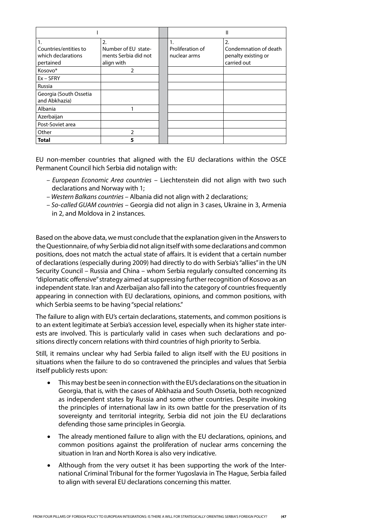|                        |                      |                  | Ш                     |
|------------------------|----------------------|------------------|-----------------------|
| 1.                     | 2.                   | 1.               | 2.                    |
| Countries/entities to  | Number of EU state-  | Proliferation of | Condemnation of death |
| which declarations     | ments Serbia did not | nuclear arms     | penalty existing or   |
| pertained              | align with           |                  | carried out           |
| Kosovo*                | 2                    |                  |                       |
| $Ex - SFRY$            |                      |                  |                       |
| Russia                 |                      |                  |                       |
| Georgia (South Ossetia |                      |                  |                       |
| and Abkhazia)          |                      |                  |                       |
| Albania                |                      |                  |                       |
| Azerbaijan             |                      |                  |                       |
| Post-Soviet area       |                      |                  |                       |
| Other                  | $\mathcal{P}$        |                  |                       |
| <b>Total</b>           | 5                    |                  |                       |

EU non-member countries that aligned with the EU declarations within the OSCE Permanent Council hich Serbia did notalign with:

- *European Economic Area countries* Liechtenstein did not align with two such declarations and Norway with 1;
- *Western Balkans countries*  Albania did not align with 2 declarations;
- *Socalled GUAM countries* Georgia did not align in 3 cases, Ukraine in 3, Armenia in 2, and Moldova in 2 instances.

Based on the above data, we must conclude that the explanation given in the Answers to the Questionnaire, of why Serbia did not align itself with some declarations and common positions, does not match the actual state of affairs. It is evident that a certain number of declarations (especially during 2009) had directly to do with Serbia's "allies" in the UN Security Council – Russia and China – whom Serbia regularly consulted concerning its "diplomatic offensive" strategy aimed at suppressing further recognition of Kosovo as an independent state. Iran and Azerbaijan also fall into the category of countries frequently appearing in connection with EU declarations, opinions, and common positions, with which Serbia seems to be having "special relations."

The failure to align with EU's certain declarations, statements, and common positions is to an extent legitimate at Serbia's accession level, especially when its higher state interests are involved. This is particularly valid in cases when such declarations and positions directly concern relations with third countries of high priority to Serbia.

Still, it remains unclear why had Serbia failed to align itself with the EU positions in situations when the failure to do so contravened the principles and values that Serbia itself publicly rests upon:

- This may best be seen in connection with the EU's declarations on the situation in Georgia, that is, with the cases of Abkhazia and South Ossetia, both recognized as independent states by Russia and some other countries. Despite invoking the principles of international law in its own battle for the preservation of its sovereignty and territorial integrity, Serbia did not join the EU declarations defending those same principles in Georgia.
- The already mentioned failure to align with the EU declarations, opinions, and common positions against the proliferation of nuclear arms concerning the situation in Iran and North Korea is also very indicative.
- • Although from the very outset it has been supporting the work of the International Criminal Tribunal for the former Yugoslavia in The Hague, Serbia failed to align with several EU declarations concerning this matter.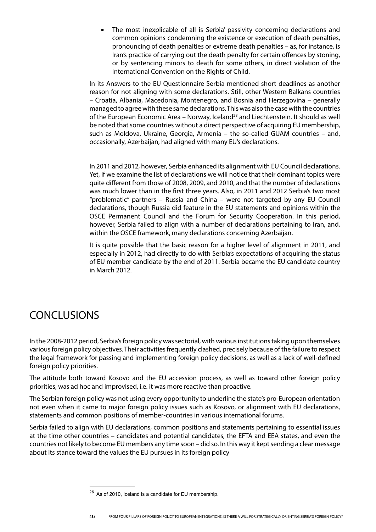The most inexplicable of all is Serbia' passivity concerning declarations and com mon opinions condemning the existence or execution of death penalties, pronouncing of death penalties or extreme death penalties – as, for instance, is Iran's practice of carrying out the death penalty for certain offences by stoning, or by sentencing minors to death for some others, in direct violation of the International Convention on the Rights of Child.

In its Answers to the EU Questionnaire Serbia mentioned short deadlines as another reason for not aligning with some declarations. Still, other Western Balkans countries – Croatia, Albania, Macedonia, Montenegro, and Bosnia and Herzegovina – generally managed to agree with these same declarations. This was also the case with the countries of the European Economic Area – Norway, Iceland<sup>28</sup> and Liechtenstein. It should as well be noted that some countries without a direct perspective of acquiring EU membership, such as Moldova, Ukraine, Georgia, Armenia – the so-called GUAM countries – and, occasionally, Azerbaijan, had aligned with many EU's declarations.

In 2011 and 2012, however, Serbia enhanced its alignment with EU Council declarations. Yet, if we examine the list of declarations we will notice that their dominant topics were quite different from those of 2008, 2009, and 2010, and that the number of declarations was much lower than in the first three years. Also, in 2011 and 2012 Serbia's two most "problematic" partners – Russia and China – were not targeted by any EU Council declarations, though Russia did feature in the EU statements and opinions within the OSCE Permanent Council and the Forum for Security Cooperation. In this period, however, Serbia failed to align with a number of declarations pertaining to Iran, and, within the OSCE framework, many declarations concerning Azerbaijan.

It is quite possible that the basic reason for a higher level of alignment in 2011, and especially in 2012, had directly to do with Serbia's expectations of acquiring the status of EU member candidate by the end of 2011. Serbia became the EU candidate country in March 2012.

## **CONCLUSIONS**

In the 2008-2012 period, Serbia's foreign policy was sectorial, with various institutions taking upon themselves various foreign policy objectives. Their activities frequently clashed, precisely because of the failure to respect the legal framework for passing and implementing foreign policy decisions, as well as a lack of well-defined foreign policy priorities.

The attitude both toward Kosovo and the EU accession process, as well as toward other foreign policy priorities, was ad hoc and improvised, i.e. it was more reactive than proactive.

The Serbian foreign policy was not using every opportunity to underline the state's pro-European orientation not even when it came to major foreign policy issues such as Kosovo, or alignment with EU declarations, statements and common positions of member-countries in various international forums.

Serbia failed to align with EU declarations, common positions and statements pertaining to essential issues at the time other countries – candidates and potential candidates, the EFTA and EEA states, and even the countries not likely to become EU members any time soon – did so. In this way it kept sending a clear message about its stance toward the values the EU pursues in its foreign policy

 $^{28}$  As of 2010, Iceland is a candidate for EU membership.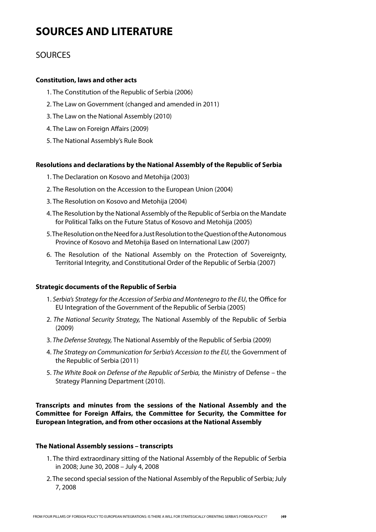## **SOURCES AND LITERATURE**

### **SOURCES**

### **Constitution, laws and other acts**

- 1. The Constitution of the Republic of Serbia (2006)
- 2. The Law on Government (changed and amended in 2011)
- 3. The Law on the National Assembly (2010)
- 4. The Law on Foreign Affairs (2009)
- 5. The National Assembly's Rule Book

### **Resolutions and declarations by the National Assembly of the Republic of Serbia**

- 1. The Declaration on Kosovo and Metohija (2003)
- 2. The Resolution on the Accession to the European Union (2004)
- 3. The Resolution on Kosovo and Metohija (2004)
- 4. The Resolution by the National Assembly of the Republic of Serbia on the Mandate for Political Talks on the Future Status of Kosovo and Metohija (2005)
- 5. The Resolution on the Need for a Just Resolution to the Question of the Autonomous Province of Kosovo and Metohija Based on International Law (2007)
- 6. The Resolution of the National Assembly on the Protection of Sovereignty, Territorial Integrity, and Constitutional Order of the Republic of Serbia (2007)

#### **Strategic documents of the Republic of Serbia**

- 1. *Serbia's Strategy for the Accession of Serbia and Montenegro to the EU*, the Office for EU Integration of the Government of the Republic of Serbia (2005)
- 2. *The National Security Strategy,* The National Assembly of the Republic of Serbia (2009)
- 3. *The Defense Strategy,* The National Assembly of the Republic of Serbia (2009)
- 4. *The Strategy on Communication for Serbia's Accession to the EU,* the Government of the Republic of Serbia (2011)
- 5. *The White Book on Defense of the Republic of Serbia,* the Ministry of Defense the Strategy Planning Department (2010).

**Transcripts and minutes from the sessions of the National Assembly and the Committee for Foreign Affairs, the Committee for Security, the Committee for European Integration, and from other occasions at the National Assembly**

#### **The National Assembly sessions – transcripts**

- 1. The third extraordinary sitting of the National Assembly of the Republic of Serbia in 2008; June 30, 2008 – July 4, 2008
- 2. The second special session of the National Assembly of the Republic of Serbia; July 7, 2008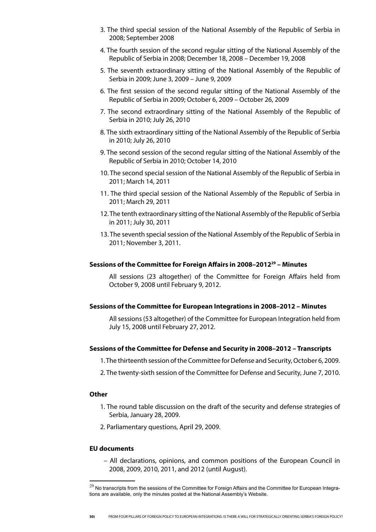- 3. The third special session of the National Assembly of the Republic of Serbia in 2008; September 2008
- 4. The fourth session of the second regular sitting of the National Assembly of the Republic of Serbia in 2008; December 18, 2008 – December 19, 2008
- 5. The seventh extraordinary sitting of the National Assembly of the Republic of Serbia in 2009; June 3, 2009 – June 9, 2009
- 6. The first session of the second regular sitting of the National Assembly of the Republic of Serbia in 2009; October 6, 2009 – October 26, 2009
- 7. The second extraordinary sitting of the National Assembly of the Republic of Serbia in 2010; July 26, 2010
- 8. The sixth extraordinary sitting of the National Assembly of the Republic of Serbia in 2010; July 26, 2010
- 9. The second session of the second regular sitting of the National Assembly of the Republic of Serbia in 2010; October 14, 2010
- 10. The second special session of the National Assembly of the Republic of Serbia in 2011; March 14, 2011
- 11. The third special session of the National Assembly of the Republic of Serbia in 2011; March 29, 2011
- 12. The tenth extraordinary sitting of the National Assembly of the Republic of Serbia in 2011; July 30, 2011
- 13. The seventh special session of the National Assembly of the Republic of Serbia in 2011; November 3, 2011.

#### **Sessions of the Committee for Foreign Affairs in 2008–201229 – Minutes**

All sessions (23 altogether) of the Committee for Foreign Affairs held from October 9, 2008 until February 9, 2012.

#### **Sessions of the Committee for European Integrations in 2008–2012 – Minutes**

All sessions (53 altogether) of the Committee for European Integration held from July 15, 2008 until February 27, 2012.

#### **Sessions of the Committee for Defense and Security in 2008–2012 – Transcripts**

- 1. The thirteenth session of the Committee for Defense and Security, October 6, 2009.
- 2. The twenty-sixth session of the Committee for Defense and Security, June 7, 2010.

#### **Other**

- 1. The round table discussion on the draft of the security and defense strategies of Serbia, January 28, 2009.
- 2. Parliamentary questions, April 29, 2009.

#### **EU documents**

– All declarations, opinions, and common positions of the European Council in 2008, 2009, 2010, 2011, and 2012 (until August).

 $^{29}$  No transcripts from the sessions of the Committee for Foreign Affairs and the Committee for European Integrations are available, only the minutes posted at the National Assembly's Website.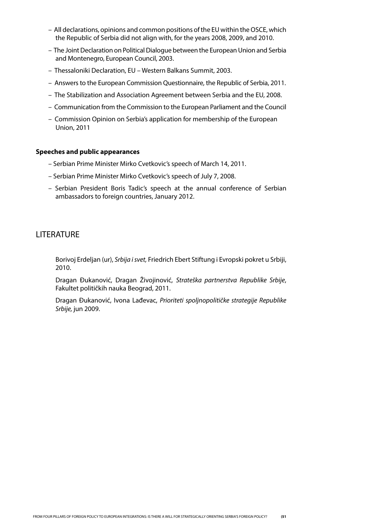- All declarations, opinions and common positions of the EU within the OSCE, which the Republic of Serbia did not align with, for the years 2008, 2009, and 2010.
- The Joint Declaration on Political Dialogue between the European Union and Serbia and Montenegro, European Council, 2003.
- Thessaloniki Declaration, EU Western Balkans Summit, 2003.
- Answers to the European Commission Questionnaire, the Republic of Serbia, 2011.
- The Stabilization and Association Agreement between Serbia and the EU, 2008.
- Communication from the Commission to the European Parliament and the Council
- Commission Opinion on Serbia's application for membership of the European Union, 2011

#### **Speeches and public appearances**

- Serbian Prime Minister Mirko Cvetkovic's speech of March 14, 2011.
- Serbian Prime Minister Mirko Cvetkovic's speech of July 7, 2008.
- Serbian President Boris Tadic's speech at the annual conference of Serbian ambassadors to foreign countries, January 2012.

### LITERATURE

Borivoj Erdeljan (ur), *Srbija i svet,* Friedrich Ebert Stiftung i Evropski pokret u Srbiji, 2010.

Dragan Đukanović, Dragan Živojinović, *Strateška partnerstva Republike Srbije*, Fakultet političkih nauka Beograd, 2011.

Dragan Đukanović, Ivona Lađevac, *Prioriteti spoljnopolitičke strategije Republike Srbije,* jun 2009.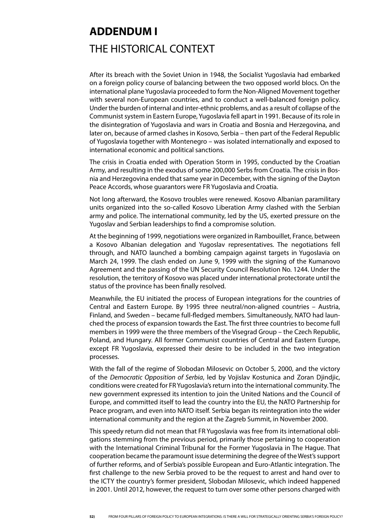# **ADDENDUM I** THE HISTORICAL CONTEXT

After its breach with the Soviet Union in 1948, the Socialist Yugoslavia had embarked on a foreign policy course of balancing between the two opposed world blocs. On the international plane Yugoslavia proceeded to form the Non-Aligned Movement together with several non-European countries, and to conduct a well-balanced foreign policy. Under the burden of internal and inter-ethnic problems, and as a result of collapse of the Communist system in Eastern Europe, Yugoslavia fell apart in 1991. Because of its role in the disintegration of Yugoslavia and wars in Croatia and Bosnia and Herzegovina, and later on, because of armed clashes in Kosovo, Serbia – then part of the Federal Republic of Yugoslavia together with Montenegro – was isolated internationally and exposed to international economic and political sanctions.

The crisis in Croatia ended with Operation Storm in 1995, conducted by the Croatian Army, and resulting in the exodus of some 200,000 Serbs from Croatia. The crisis in Bosnia and Herzegovina ended that same year in December, with the signing of the Dayton Peace Accords, whose guarantors were FR Yugoslavia and Croatia.

Not long afterward, the Kosovo troubles were renewed. Kosovo Albanian paramilitary units organized into the so-called Kosovo Liberation Army clashed with the Serbian army and police. The international community, led by the US, exerted pressure on the Yugoslav and Serbian leaderships to find a compromise solution.

At the beginning of 1999, negotiations were organized in Rambouillet, France, between a Kosovo Albanian delegation and Yugoslav representatives. The negotiations fell through, and NATO launched a bombing campaign against targets in Yugoslavia on March 24, 1999. The clash ended on June 9, 1999 with the signing of the Kumanovo Agreement and the passing of the UN Security Council Resolution No. 1244. Under the resolution, the territory of Kosovo was placed under international protectorate until the status of the province has been finally resolved.

Meanwhile, the EU initiated the process of European integrations for the countries of Central and Eastern Europe. By 1995 three neutral/non-aligned countries – Austria, Finland, and Sweden – became full-fledged members. Simultaneously, NATO had launched the process of expansion towards the East. The first three countries to become full members in 1999 were the three members of the Visegrad Group – the Czech Republic, Poland, and Hungary. All former Communist countries of Central and Eastern Europe, except FR Yugoslavia, expressed their desire to be included in the two integration processes.

With the fall of the regime of Slobodan Milosevic on October 5, 2000, and the victory of the *Democratic Opposition of Serbia*, led by Vojislav Kostunica and Zoran Djindjic, conditions were created for FR Yugoslavia's return into the international community. The new government expressed its intention to join the United Nations and the Council of Europe, and committed itself to lead the country into the EU, the NATO Partnership for Peace program, and even into NATO itself. Serbia began its reintegration into the wider international community and the region at the Zagreb Summit, in November 2000.

This speedy return did not mean that FR Yugoslavia was free from its international obligations stemming from the previous period, primarily those pertaining to cooperation with the International Criminal Tribunal for the Former Yugoslavia in The Hague. That cooperation became the paramount issue determining the degree of the West's support of further reforms, and of Serbia's possible European and Euro-Atlantic integration. The first challenge to the new Serbia proved to be the request to arrest and hand over to the ICTY the country's former president, Slobodan Milosevic, which indeed happened in 2001. Until 2012, however, the request to turn over some other persons charged with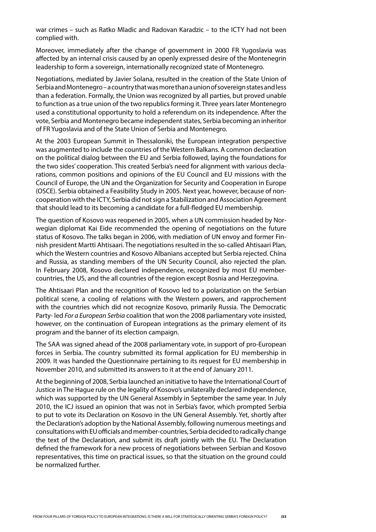war crimes – such as Ratko Mladic and Radovan Karadzic – to the ICTY had not been complied with.

Moreover, immediately after the change of government in 2000 FR Yugoslavia was affected by an internal crisis caused by an openly expressed desire of the Montenegrin leadership to form a sovereign, internationally recognized state of Montenegro.

Negotiations, mediated by Javier Solana, resulted in the creation of the State Union of Serbia and Montenegro – a country that was more than a union of sovereign states and less than a federation. Formally, the Union was recognized by all parties, but proved unable to function as a true union of the two republics forming it. Three years later Montenegro used a constitutional opportunity to hold a referendum on its independence. After the vote, Serbia and Montenegro became independent states, Serbia becoming an inheritor of FR Yugoslavia and of the State Union of Serbia and Montenegro.

At the 2003 European Summit in Thessaloniki, the European integration perspective was augmented to include the countries of the Western Balkans. A common declaration on the political dialog between the EU and Serbia followed, laying the foundations for the two sides' cooperation. This created Serbia's need for alignment with various declarations, common positions and opinions of the EU Council and EU missions with the Council of Europe, the UN and the Organization for Security and Cooperation in Europe (OSCE). Serbia obtained a Feasibility Study in 2005. Next year, however, because of noncooperation with the ICTY, Serbia did not sign a Stabilization and Association Agreement that should lead to its becoming a candidate for a full-fledged EU membership.

The question of Kosovo was reopened in 2005, when a UN commission headed by Norwegian diplomat Kai Eide recommended the opening of negotiations on the future status of Kosovo. The talks began in 2006, with mediation of UN envoy and former Finnish president Martti Ahtisaari. The negotiations resulted in the so-called Ahtisaari Plan, which the Western countries and Kosovo Albanians accepted but Serbia rejected. China and Russia, as standing members of the UN Security Council, also rejected the plan. In February 2008, Kosovo declared independence, recognized by most EU membercountries, the US, and the all countries of the region except Bosnia and Herzegovina.

The Ahtisaari Plan and the recognition of Kosovo led to a polarization on the Serbian political scene, a cooling of relations with the Western powers, and rapprochement with the countries which did not recognize Kosovo, primarily Russia. The Democratic Party- led *For a European Serbia* coalition that won the 2008 parliamentary vote insisted, however, on the continuation of European integrations as the primary element of its program and the banner of its election campaign.

The SAA was signed ahead of the 2008 parliamentary vote, in support of pro-European forces in Serbia. The country submitted its formal application for EU membership in 2009. It was handed the Questionnaire pertaining to its request for EU membership in November 2010, and submitted its answers to it at the end of January 2011.

At the beginning of 2008, Serbia launched an initiative to have the International Court of Justice in The Hague rule on the legality of Kosovo's unilaterally declared independence, which was supported by the UN General Assembly in September the same year. In July 2010, the ICJ issued an opinion that was not in Serbia's favor, which prompted Serbia to put to vote its Declaration on Kosovo in the UN General Assembly. Yet, shortly after the Declaration's adoption by the National Assembly, following numerous meetings and consultations with EU officials and member-countries, Serbia decided to radically change the text of the Declaration, and submit its draft jointly with the EU. The Declaration defined the framework for a new process of negotiations between Serbian and Kosovo representatives, this time on practical issues, so that the situation on the ground could be normalized further.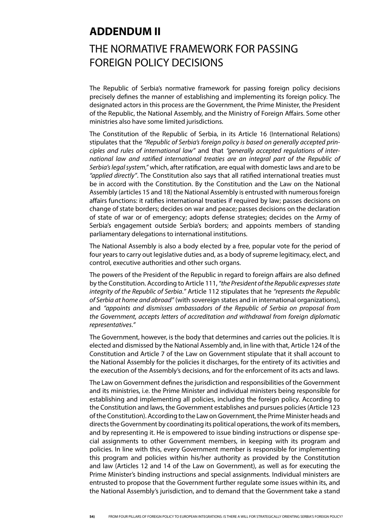## **ADDENDUM II**

## THE NORMATIVE FRAMEWORK FOR PASSING FOREIGN POLICY DECISIONS

The Republic of Serbia's normative framework for passing foreign policy decisions precisely defines the manner of establishing and implementing its foreign policy. The designated actors in this process are the Government, the Prime Minister, the President of the Republic, the National Assembly, and the Ministry of Foreign Affairs. Some other ministries also have some limited jurisdictions.

The Constitution of the Republic of Serbia, in its Article 16 (International Relations) stipulates that the *"Republic of Serbia's foreign policy is based on generally accepted principles and rules of international law"* and that *"generally accepted regulations of international law and ratified international treaties are an integral part of the Republic of Serbia's legal system,"* which, after ratification, are equal with domestic laws and are to be *"applied directly"*. The Constitution also says that all ratified international treaties must be in accord with the Constitution. By the Constitution and the Law on the National Assembly (articles 15 and 18) the National Assembly is entrusted with numerous foreign affairs functions: it ratifies international treaties if required by law; passes decisions on change of state borders; decides on war and peace; passes decisions on the declaration of state of war or of emergency; adopts defense strategies; decides on the Army of Serbia's engagement outside Serbia's borders; and appoints members of standing parliamentary delegations to international institutions.

The National Assembly is also a body elected by a free, popular vote for the period of four years to carry out legislative duties and, as a body of supreme legitimacy, elect, and control, executive authorities and other such organs.

The powers of the President of the Republic in regard to foreign affairs are also defined by the Constitution. According to Article 111, *"the President of the Republic expresses state integrity of the Republic of Serbia*.*"* Article 112 stipulates that he *"represents the Republic of Serbia at home and abroad"* (with sovereign states and in international organizations), and *"appoints and dismisses ambassadors of the Republic of Serbia on proposal from the Government, accepts letters of accreditation and withdrawal from foreign diplomatic representatives*.*"*

The Government, however, is the body that determines and carries out the policies. It is elected and dismissed by the National Assembly and, in line with that, Article 124 of the Constitution and Article 7 of the Law on Government stipulate that it shall account to the National Assembly for the policies it discharges, for the entirety of its activities and the execution of the Assembly's decisions, and for the enforcement of its acts and laws.

The Law on Government defines the jurisdiction and responsibilities of the Government and its ministries, i.e. the Prime Minister and individual ministers being responsible for establishing and implementing all policies, including the foreign policy. According to the Constitution and laws, the Government establishes and pursues policies (Article 123 of the Constitution). According to the Law on Government, the Prime Minister heads and directs the Government by coordinating its political operations, the work of its members, and by representing it. He is empowered to issue binding instructions or dispense special assignments to other Government members, in keeping with its program and policies. In line with this, every Government member is responsible for implementing this program and policies within his/her authority as provided by the Constitution and law (Articles 12 and 14 of the Law on Government), as well as for executing the Prime Minister's binding instructions and special assignments. Individual ministers are entrusted to propose that the Government further regulate some issues within its, and the National Assembly's jurisdiction, and to demand that the Government take a stand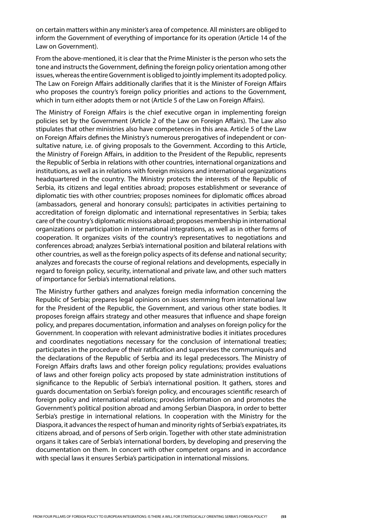on certain matters within any minister's area of competence. All ministers are obliged to inform the Government of everything of importance for its operation (Article 14 of the Law on Government).

From the above-mentioned, it is clear that the Prime Minister is the person who sets the tone and instructs the Government, defining the foreign policy orientation among other issues, whereas the entire Government is obliged to jointly implement its adopted policy. The Law on Foreign Affairs additionally clarifies that it is the Minister of Foreign Affairs who proposes the country's foreign policy priorities and actions to the Government, which in turn either adopts them or not (Article 5 of the Law on Foreign Affairs).

The Ministry of Foreign Affairs is the chief executive organ in implementing foreign policies set by the Government (Article 2 of the Law on Foreign Affairs). The Law also stipulates that other ministries also have competences in this area. Article 5 of the Law on Foreign Affairs defines the Ministry's numerous prerogatives of independent or consultative nature, i.e. of giving proposals to the Government. According to this Article, the Ministry of Foreign Affairs, in addition to the President of the Republic, represents the Republic of Serbia in relations with other countries, international organizations and institutions, as well as in relations with foreign missions and international organizations headquartered in the country. The Ministry protects the interests of the Republic of Serbia, its citizens and legal entities abroad; proposes establishment or severance of diplomatic ties with other countries; proposes nominees for diplomatic offices abroad (ambassadors, general and honorary consuls); participates in activities pertaining to accreditation of foreign diplomatic and international representatives in Serbia; takes care of the country's diplomatic missions abroad; proposes membership in international organizations or participation in international integrations, as well as in other forms of cooperation. It organizes visits of the country's representatives to negotiations and conferences abroad; analyzes Serbia's international position and bilateral relations with other countries, as well as the foreign policy aspects of its defense and national security; analyzes and forecasts the course of regional relations and developments, especially in regard to foreign policy, security, international and private law, and other such matters of importance for Serbia's international relations.

The Ministry further gathers and analyzes foreign media information concerning the Republic of Serbia; prepares legal opinions on issues stemming from international law for the President of the Republic, the Government, and various other state bodies. It proposes foreign affairs strategy and other measures that influence and shape foreign policy, and prepares documentation, information and analyses on foreign policy for the Government. In cooperation with relevant administrative bodies it initiates procedures and coordinates negotiations necessary for the conclusion of international treaties; participates in the procedure of their ratification and supervises the communiqués and the declarations of the Republic of Serbia and its legal predecessors. The Ministry of Foreign Affairs drafts laws and other foreign policy regulations; provides evaluations of laws and other foreign policy acts proposed by state administration institutions of significance to the Republic of Serbia's international position. It gathers, stores and guards documentation on Serbia's foreign policy, and encourages scientific research of foreign policy and international relations; provides information on and promotes the Government's political position abroad and among Serbian Diaspora, in order to better Serbia's prestige in international relations. In cooperation with the Ministry for the Diaspora, it advances the respect of human and minority rights of Serbia's expatriates, its citizens abroad, and of persons of Serb origin. Together with other state administration organs it takes care of Serbia's international borders, by developing and preserving the documentation on them. In concert with other competent organs and in accordance with special laws it ensures Serbia's participation in international missions.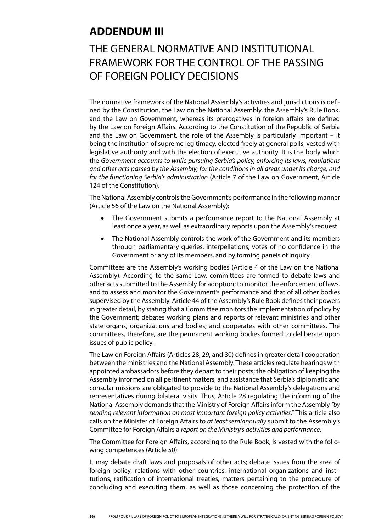## **ADDENDUM III**

## THE GENERAL NORMATIVE AND INSTITUTIONAL FRAMEWORK FOR THE CONTROL OF THE PASSING OF FOREIGN POLICY DECISIONS

The normative framework of the National Assembly's activities and jurisdictions is defined by the Constitution, the Law on the National Assembly, the Assembly's Rule Book, and the Law on Government, whereas its prerogatives in foreign affairs are defined by the Law on Foreign Affairs. According to the Constitution of the Republic of Serbia and the Law on Government, the role of the Assembly is particularly important – it being the institution of supreme legitimacy, elected freely at general polls, vested with legislative authority and with the election of executive authority. It is the body which the *Government accounts to while pursuing Serbia's policy, enforcing its laws, regulations and other acts passed by the Assembly; for the conditions in all areas under its charge; and for the functioning Serbia's administration* (Article 7 of the Law on Government, Article 124 of the Constitution).

The National Assembly controls the Government's performance in the following manner (Article 56 of the Law on the National Assembly):

- The Government submits a performance report to the National Assembly at least once a year, as well as extraordinary reports upon the Assembly's request
- The National Assembly controls the work of the Government and its members through parliamentary queries, interpellations, votes of no confidence in the Government or any of its members, and by forming panels of inquiry.

Committees are the Assembly's working bodies (Article 4 of the Law on the National Assembly). According to the same Law, committees are formed to debate laws and other acts submitted to the Assembly for adoption; to monitor the enforcement of laws, and to assess and monitor the Government's performance and that of all other bodies supervised by the Assembly. Article 44 of the Assembly's Rule Book defines their powers in greater detail, by stating that a Committee monitors the implementation of policy by the Government; debates working plans and reports of relevant ministries and other state organs, organizations and bodies; and cooperates with other committees. The committees, therefore, are the permanent working bodies formed to deliberate upon issues of public policy.

The Law on Foreign Affairs (Articles 28, 29, and 30) defines in greater detail cooperation between the ministries and the National Assembly. These articles regulate hearings with appointed ambassadors before they depart to their posts; the obligation of keeping the Assembly informed on all pertinent matters, and assistance that Serbia's diplomatic and consular missions are obligated to provide to the National Assembly's delegations and representatives during bilateral visits. Thus, Article 28 regulating the informing of the National Assembly demands that the Ministry of Foreign Affairs inform the Assembly *"by sending relevant information on most important foreign policy activities."* This article also calls on the Minister of Foreign Affairs to *at least semiannually* submit to the Assembly's Committee for Foreign Affairs a *report on the Ministry's activities and performance*.

The Committee for Foreign Affairs, according to the Rule Book, is vested with the following competences (Article 50):

It may debate draft laws and proposals of other acts; debate issues from the area of foreign policy, relations with other countries, international organizations and institutions, ratification of international treaties, matters pertaining to the procedure of concluding and executing them, as well as those concerning the protection of the